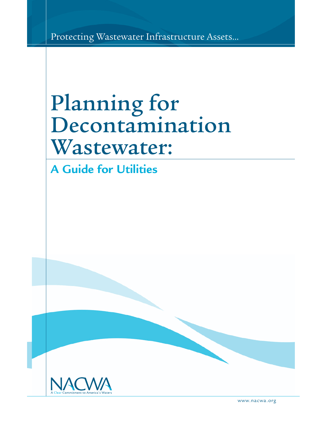Protecting Wastewater Infrastructure Assets...

## Planning for Decontamination Wastewater:

**A Guide for Utilities**



www.nacwa.org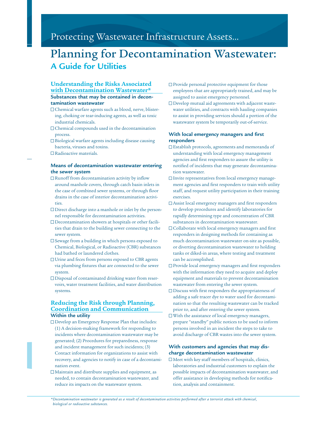## Protecting Wastewater Infrastructure Assets...

## Planning for Decontamination Wastewater: **A Guide for Utilities**

#### **Understanding the Risks Associated with Decontamination Wastewater\* Substances that may be contained in decontamination wastewater**

- Chemical warfare agents such as blood, nerve, blistering, choking or tear-inducing agents, as well as toxic industrial chemicals.
- Chemical compounds used in the decontamination process.
- Biological warfare agents including disease causing bacteria, viruses and toxins.
- □Radioactive materials.

#### **Means of decontamination wastewater entering the sewer system**

- $\square$  Runoff from decontamination activity by inflow around manhole covers, through catch basin inlets in the case of combined sewer systems, or through floor drains in the case of interior decontamination activities.
- $\square$  Direct discharge into a manhole or inlet by the personnel responsible for decontamination activities.
- Decontamination showers at hospitals or other facilities that drain to the building sewer connecting to the sewer system.
- $\square$  Sewage from a building in which persons exposed to Chemical, Biological, or Radioactive (CBR) substances had bathed or laundered clothes.
- Urine and feces from persons exposed to CBR agents via plumbing fixtures that are connected to the sewer system.
- Disposal of contaminated drinking water from reservoirs, water treatment facilities, and water distribution systems.

#### **Reducing the Risk through Planning, Coordination and Communication Within the utility**

- Develop an Emergency Response Plan that includes: (1) A decision-making framework for responding to incidents where decontamination wastewater may be generated; (2) Procedures for preparedness, response and incident management for such incidents; (3) Contact information for organizations to assist with recovery, and agencies to notify in case of a decontamination event.
- $\Box$ Maintain and distribute supplies and equipment, as needed, to contain decontamination wastewater, and reduce its impacts on the wastewater system.
- $\square$  Provide personal protective equipment for those employees that are appropriately trained, and may be assigned to assist emergency personnel.
- Develop mutual aid agreements with adjacent wastewater utilities, and contracts with hauling companies to assist in providing services should a portion of the wastewater system be temporarily out-of-service.

#### **With local emergency managers and first responders**

- Establish protocols, agreements and memoranda of understanding with local emergency management agencies and first responders to assure the utility is notified of incidents that may generate decontamination wastewater.
- Invite representatives from local emergency management agencies and first responders to train with utility staff, and request utility participation in their training exercises.
- $\Box$  Assist local emergency managers and first responders to develop procedures and identify laboratories for rapidly determining type and concentration of CBR substances in decontamination wastewater.
- $\Box$  Collaborate with local emergency managers and first responders in designing methods for containing as much decontamination wastewater on-site as possible, or diverting decontamination wastewater to holding tanks or diked-in areas, where testing and treatment can be accomplished.
- $\Box$  Provide local emergency managers and first responders with the information they need to acquire and deploy equipment and materials to prevent decontamination wastewater from entering the sewer system.
- $\square$  Discuss with first responders the appropriateness of adding a safe tracer dye to water used for decontamination so that the resulting wastewater can be tracked prior to, and after entering the sewer system.
- With the assistance of local emergency managers, prepare "standby" public notices to be used to inform persons involved in an incident the steps to take to avoid discharge of CBR wastes into the sewer system.

#### **With customers and agencies that may discharge decontamination wastewater**

 $\Box$  Meet with key staff members of hospitals, clinics, laboratories and industrial customers to explain the possible impacts of decontamination wastewater, and offer assistance in developing methods for notification, analysis and containment.

*\* Decontamination wastewater is generated as a result of decontamination activities performed after a terrorist attack with chemical, biological or radioactive substances.*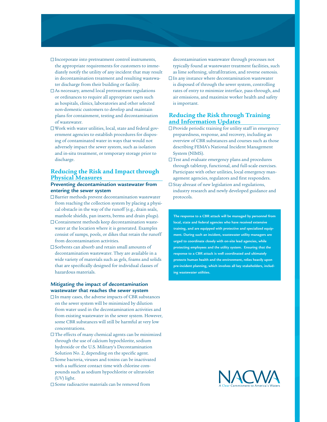- Incorporate into pretreatment control instruments, the appropriate requirements for customers to immediately notify the utility of any incident that may result in decontamination treatment and resulting wastewater discharge from their building or facility.
- As necessary, amend local pretreatment regulations or ordinances to require all appropriate users such as hospitals, clinics, laboratories and other selected non-domestic customers to develop and maintain plans for containment, testing and decontamination of wastewater.
- Work with water utilities, local, state and federal government agencies to establish procedures for disposing of contaminated water in ways that would not adversely impact the sewer system, such as isolation and in-situ treatment, or temporary storage prior to discharge.

#### **Reducing the Risk and Impact through Physical Measures**

**Preventing decontamination wastewater from entering the sewer system**

- Barrier methods prevent decontamination wastewater from reaching the collection system by placing a physical obstacle in the way of the runoff (e.g., drain seals, manhole shields, pan inserts, berms and drain plugs).
- Containment methods keep decontamination wastewater at the location where it is generated. Examples consist of sumps, pools, or dikes that retain the runoff from decontamination activities.
- $\square$  Sorbents can absorb and retain small amounts of decontamination wastewater. They are available in a wide variety of materials such as gels, foams and solids that are specifically designed for individual classes of hazardous materials.

#### **Mitigating the impact of decontamination wastewater that reaches the sewer system**

- $\square$  In many cases, the adverse impacts of CBR substances on the sewer system will be minimized by dilution from water used in the decontamination activities and from existing wastewater in the sewer system. However, some CBR substances will still be harmful at very low concentrations.
- The effects of many chemical agents can be minimized through the use of calcium hypochlorite, sodium hydroxide or the U.S. Military's Decontamination Solution No. 2, depending on the specific agent.
- $\square$  Some bacteria, viruses and toxins can be inactivated with a sufficient contact time with chlorine compounds such as sodium hypochlorite or ultraviolet (UV) light.
- □ Some radioactive materials can be removed from

decontamination wastewater through processes not typically found at wastewater treatment facilities, such as lime softening, ultrafiltration, and reverse osmosis.

 $\Box$  In any instance where decontamination wastewater is disposed of through the sewer system, controlling rates of entry to minimize interface, pass-through, and air emissions, and maximize worker health and safety is important.

#### **Reducing the Risk through Training and Information Updates**

- $\Box$  Provide periodic training for utility staff in emergency preparedness, response, and recovery, including an overview of CBR substances and courses such as those describing FEMA's National Incident Management System (NIMS).
- Test and evaluate emergency plans and procedures through tabletop, functional, and full-scale exercises. Participate with other utilities, local emergency management agencies, regulators and first responders.
- $\square$  Stay abreast of new legislation and regulations, industry research and newly developed guidance and protocols.

**The response to a CBR attack will be managed by personnel from local, state and federal agencies who have received extensive training, and are equipped with protective and specialized equipment. During such an incident, wastewater utility managers are urged to coordinate closely with on-site lead agencies, while protecting employees and the utility system. Ensuring that the response to a CBR attack is well coordinated and ultimately protects human health and the environment, relies heavily upon pre-incident planning, which involves all key stakeholders, including wastewater utilities.** 

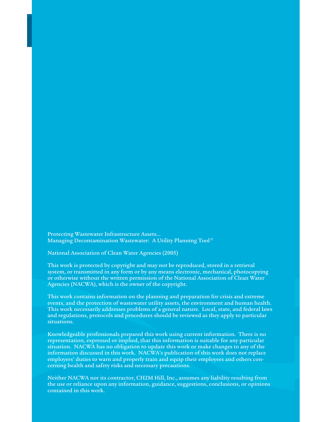Protecting Wastewater Infrastructure Assets… Managing Decontamination Wastewater: A Utility Planning Tool ©

National Association of Clean Water Agencies (2005)

This work is protected by copyright and may not be reproduced, stored in a retrieval system, or transmitted in any form or by any means electronic, mechanical, photocopying or otherwise without the written permission of the National Association of Clean Water Agencies (NACWA), which is the owner of the copyright.

This work contains information on the planning and preparation for crisis and extreme events, and the protection of wastewater utility assets, the environment and human health. This work necessarily addresses problems of a general nature. Local, state, and federal laws and regulations, protocols and procedures should be reviewed as they apply to particular situations.

Knowledgeable professionals prepared this work using current information. There is no representation, expressed or implied, that this information is suitable for any particular situation. NACWA has no obligation to update this work or make changes to any of the information discussed in this work. NACWA's publication of this work does not replace employers' duties to warn and properly train and equip their employees and others concerning health and safety risks and necessary precautions.

Neither NACWA nor its contractor, CH2M Hill, Inc., assumes any liability resulting from the use or reliance upon any information, guidance, suggestions, conclusions, or opinions contained in this work.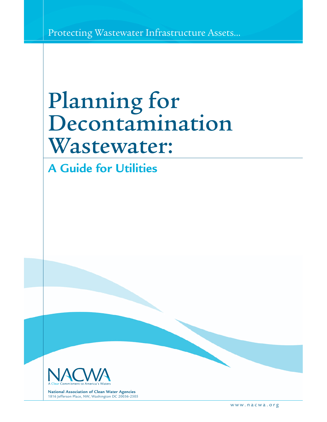# Planning for Decontamination Wastewater:

**A Guide for Utilities** 



**National Association of Clean Water Agencies** 1816 Jefferson Place, NW, Washington DC 20036-2505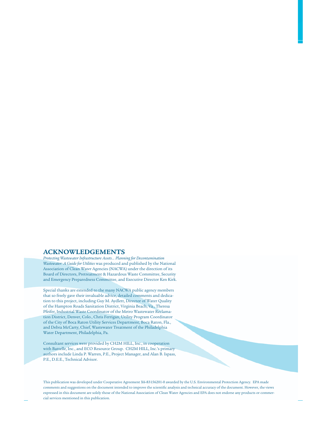#### **ACKNOWLEDGEMENTS**

*Protecting Wastewater Infrastructure Assets… Planning for Decontamination Wastewater: A Guide for Utilities* was produced and published by the National Association of Clean Water Agencies (NACWA) under the direction of its Board of Directors, Pretreatment & Hazardous Waste Committee, Security and Emergency Preparedness Committee, and Executive Director Ken Kirk.

Special thanks are extended to the many NACWA public agency members that so freely gave their invaluable advice, detailed comments and dedication to this project, including Guy M. Aydlett, Director of Water Quality of the Hampton Roads Sanitation District, Virginia Beach, Va., Theresa Pfeifer, Industrial Waste Coordinator of the Metro Wastewater Reclamation District, Denver, Colo., Chris Ferrigan, Utility Program Coordinator of the City of Boca Raton Utility Services Department, Boca Raton, Fla., and Debra McCarty, Chief, Wastewater Treatment of the Philadelphia Water Department, Philadelphia, Pa.

Consultant services were provided by CH2M HILL, Inc., in cooperation with Battelle, Inc., and ECO Resource Group. CH2M HILL, Inc.'s primary authors include Linda P. Warren, P.E., Project Manager, and Alan B. Ispass, P.E., D.E.E., Technical Advisor.

This publication was developed under Cooperative Agreement X6-83156201-0 awarded by the U.S. Environmental Protection Agency. EPA made comments and suggestions on the document intended to improve the scientific analysis and technical accuracy of the document. However, the views expressed in this document are solely those of the National Association of Clean Water Agencies and EPA does not endorse any products or commercial services mentioned in this publication.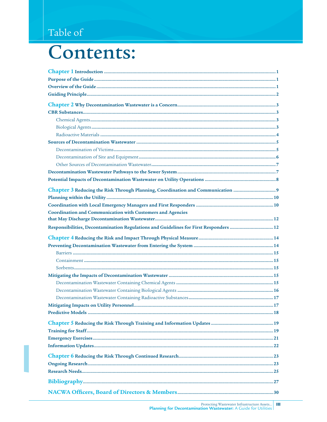## Table of

## Contents:

| Chapter 3 Reducing the Risk Through Planning, Coordination and Communication          |  |
|---------------------------------------------------------------------------------------|--|
|                                                                                       |  |
|                                                                                       |  |
| <b>Coordination and Communication with Customers and Agencies</b>                     |  |
|                                                                                       |  |
| Responsibilities, Decontamination Regulations and Guidelines for First Responders  12 |  |
|                                                                                       |  |
|                                                                                       |  |
|                                                                                       |  |
|                                                                                       |  |
|                                                                                       |  |
|                                                                                       |  |
|                                                                                       |  |
|                                                                                       |  |
|                                                                                       |  |
|                                                                                       |  |
|                                                                                       |  |
|                                                                                       |  |
|                                                                                       |  |
|                                                                                       |  |
|                                                                                       |  |
|                                                                                       |  |
|                                                                                       |  |
|                                                                                       |  |
|                                                                                       |  |
|                                                                                       |  |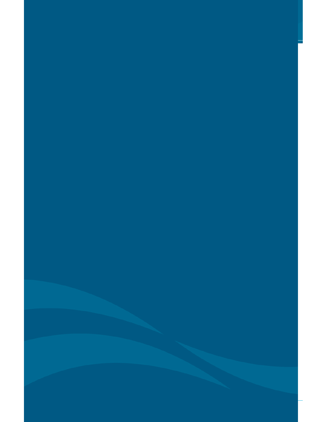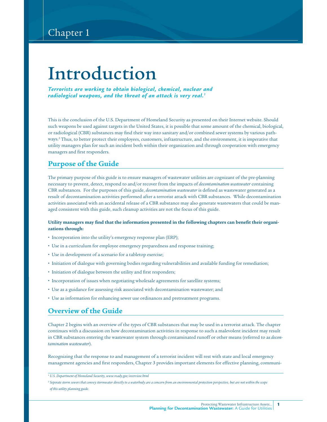## Chapter 1

## Introduction

*Terrorists are working to obtain biological, chemical, nuclear and radiological weapons, and the threat of an attack is very real.1*

This is the conclusion of the U.S. Department of Homeland Security as presented on their Internet website. Should such weapons be used against targets in the United States, it is possible that some amount of the chemical, biological, or radiological (CBR) substances may find their way into sanitary and/or combined sewer systems by various pathways.2 Thus, to better protect their employees, customers, infrastructure, and the environment, it is imperative that utility managers plan for such an incident both within their organization and through cooperation with emergency managers and first responders.

#### **Purpose of the Guide**

The primary purpose of this guide is to ensure managers of wastewater utilities are cognizant of the pre-planning necessary to prevent, detect, respond to and/or recover from the impacts of *decontamination wastewater* containing CBR substances. For the purposes of this guide, *decontamination wastewater* is defined as wastewater generated as a result of decontamination activities performed after a terrorist attack with CBR substances. While decontamination activities associated with an accidental release of a CBR substance may also generate wastewaters that could be managed consistent with this guide, such cleanup activities are not the focus of this guide.

#### Utility managers may find that the information presented in the following chapters can benefit their organi**zations through:**

- **•** Incorporation into the utility's emergency response plan (ERP);
- **•** Use in a curriculum for employee emergency preparedness and response training;
- **•** Use in development of a scenario for a tabletop exercise;
- **•** Initiation of dialogue with governing bodies regarding vulnerabilities and available funding for remediation;
- Initiation of dialogue between the utility and first responders;
- **•** Incorporation of issues when negotiating wholesale agreements for satellite systems;
- **•** Use as a guidance for assessing risk associated with decontamination wastewater; and
- **•** Use as information for enhancing sewer use ordinances and pretreatment programs.

#### **Overview of the Guide**

Chapter 2 begins with an overview of the types of CBR substances that may be used in a terrorist attack. The chapter continues with a discussion on how decontamination activities in response to such a malevolent incident may result in CBR substances entering the wastewater system through contaminated runoff or other means (referred to as *decontamination wastewater*).

Recognizing that the response to and management of a terrorist incident will rest with state and local emergency management agencies and first responders, Chapter 3 provides important elements for effective planning, communi-

*<sup>1</sup> U.S. Department of Homeland Security, www.ready.gov/overview.html*

*<sup>2</sup> Seperate storm sewers that convey stormwater directly to a waterbody are a concern from an environmental protection perspective, but are not within the scope of this utility planning guide.*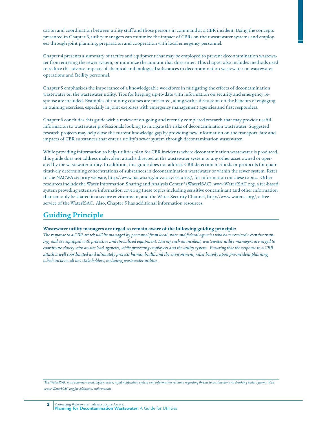cation and coordination between utility staff and those persons in command at a CBR incident. Using the concepts presented in Chapter 3, utility managers can minimize the impact of CBRs on their wastewater systems and employees through joint planning, preparation and cooperation with local emergency personnel.

Chapter 4 presents a summary of tactics and equipment that may be employed to prevent decontamination wastewater from entering the sewer system, or minimize the amount that does enter. This chapter also includes methods used to reduce the adverse impacts of chemical and biological substances in decontamination wastewater on wastewater operations and facility personnel.

Chapter 5 emphasizes the importance of a knowledgeable workforce in mitigating the effects of decontamination wastewater on the wastewater utility. Tips for keeping up-to-date with information on security and emergency response are included. Examples of training courses are presented, along with a discussion on the benefits of engaging in training exercises, especially in joint exercises with emergency management agencies and first responders.

Chapter 6 concludes this guide with a review of on-going and recently completed research that may provide useful information to wastewater professionals looking to mitigate the risks of decontamination wastewater. Suggested research projects may help close the current knowledge gap by providing new information on the transport, fate and impacts of CBR substances that enter a utility's sewer system through decontamination wastewater.

While providing information to help utilities plan for CBR incidents where decontamination wastewater is produced, this guide does not address malevolent attacks directed at the wastewater system or any other asset owned or operated by the wastewater utility. In addition, this guide does not address CBR detection methods or protocols for quantitatively determining concentrations of substances in decontamination wastewater or within the sewer system. Refer to the NACWA security website, http://www.nacwa.org/advocacy/security/, for information on these topics. Other resources include the Water Information Sharing and Analysis Center 3 (WaterISAC), www.WaterISAC.org, a fee-based system providing extensive information covering these topics including sensitive contaminant and other information that can only be shared in a secure environment, and the Water Security Channel, http://www.watersc.org/, a free service of the WaterISAC. Also, Chapter 5 has additional information resources.

### **Guiding Principle**

#### **Wastewater utility managers are urged to remain aware of the following guiding principle:**

*The response to a CBR attack will be managed by personnel from local, state and federal agencies who have received extensive training, and are equipped with protective and specialized equipment. During such an incident, wastewater utility managers are urged to coordinate closely with on-site lead agencies, while protecting employees and the utility system. Ensuring that the response to a CBR attack is well coordinated and ultimately protects human health and the environment, relies heavily upon pre-incident planning, which involves all key stakeholders, including wastewater utilities.*

<sup>3</sup>The WaterISAC is an Internet-based, highly secure, rapid notification system and information resource regarding threats to wastewater and drinking water systems. Visit *www.WaterISAC.org for additional information.*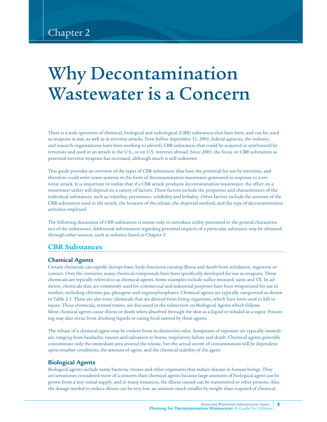## Why Decontamination Wastewater is a Concern

There is a wide spectrum of chemical, biological and radiological (CBR) substances that have been, and can be, used as weapons in war, as well as in terrorist attacks. Even before September 11, 2001, federal agencies, the military, and research organizations have been working to identify CBR substances that could be acquired or synthesized by terrorists and used in an attack in the U.S., or on U.S. interests abroad. Since 2001, the focus on CBR substances as potential terrorist weapons has increased, although much is still unknown.

This guide provides an overview of the types of CBR substances that have the potential for use by terrorists, and therefore could enter sewer systems in the form of decontamination wastewater generated in response to a terrorist attack. It is important to realize that if a CBR attack produces decontamination wastewater, the effect on a wastewater utility will depend on a variety of factors. These factors include the properties and characteristics of the individual substances, such as volatility, persistence, solubility and lethality. Other factors include the amount of the CBR substances used in the attack, the location of the release, the dispersal method, and the type of decontamination activities employed.

The following discussion of CBR substances is meant only to introduce utility personnel to the general characteristics of the substances. Additional information regarding potential impacts of a particular substance may be obtained through other sources, such as websites listed in Chapter 5.

### **CBR Substances**

#### **Chemical Agents**

Certain chemicals can rapidly disrupt basic body functions causing illness and death from inhalation, ingestion or contact. Over the centuries, many chemical compounds have been specifically developed for use as weapons. These chemicals are typically referred to as chemical agents. Some examples include sulfur mustard, sarin and VX. In addition, chemicals that are commonly used for commercial and industrial purposes have been weaponized for use in warfare, including chlorine gas, phosgene and organophosphates. Chemical agents are typically categorized as shown in Table 2-1. There are also toxic chemicals that are derived from living organisms, which have been used to kill or injure. These chemicals, termed toxins, are discussed in the subsection on Biological Agents which follows. Most chemical agents cause illness or death when absorbed through the skin as a liquid or inhaled as a vapor. Poisoning may also occur from drinking liquids or eating food tainted by these agents.

The release of a chemical agent may be evident from its distinctive odor. Symptoms of exposure are typically immediate, ranging from headache, nausea and salivation to burns, respiratory failure and death. Chemical agents generally contaminate only the immediate area around the release, but the actual extent of contamination will be dependent upon weather conditions, the amount of agent, and the chemical stability of the agent.

#### **Biological Agents**

Biological agents include many bacteria, viruses and other organisms that induce disease in human beings. They are sometimes considered more of a concern than chemical agents because large amounts of biological agent can be grown from a tiny initial supply, and in many instances, the illness caused can be transmitted to other persons. Also, the dosage needed to induce illness can be very low, an amount much smaller by weight than required of chemical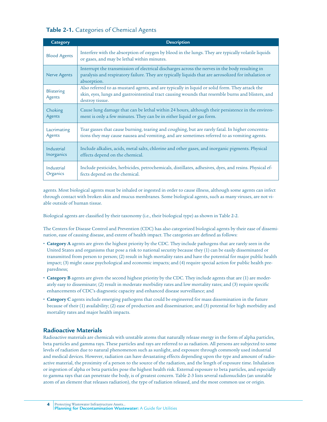#### **Table 2-1.** Categories of Chemical Agents

| Category                    | <b>Description</b>                                                                                                                                                                                                     |
|-----------------------------|------------------------------------------------------------------------------------------------------------------------------------------------------------------------------------------------------------------------|
| <b>Blood Agents</b>         | Interfere with the absorption of oxygen by blood in the lungs. They are typically volatile liquids<br>or gases, and may be lethal within minutes.                                                                      |
| <b>Nerve Agents</b>         | Interrupt the transmission of electrical discharges across the nerves in the body resulting in<br>paralysis and respiratory failure. They are typically liquids that are aerosolized for inhalation or<br>absorption.  |
| <b>Blistering</b><br>Agents | Also referred to as mustard agents, and are typically in liquid or solid form. They attack the<br>skin, eyes, lungs and gastrointestinal tract causing wounds that resemble burns and blisters, and<br>destroy tissue. |
| Choking                     | Cause lung damage that can be lethal within 24 hours, although their persistence in the environ-                                                                                                                       |
| Agents                      | ment is only a few minutes. They can be in either liquid or gas form.                                                                                                                                                  |
| Lacrimating                 | Tear gasses that cause burning, tearing and coughing, but are rarely fatal. In higher concentra-                                                                                                                       |
| Agents                      | tions they may cause nausea and vomiting, and are sometimes referred to as vomiting agents.                                                                                                                            |
| Industrial                  | Include alkalies, acids, metal salts, chlorine and other gases, and inorganic pigments. Physical                                                                                                                       |
| Inorganics                  | effects depend on the chemical.                                                                                                                                                                                        |
| Industrial                  | Include pesticides, herbicides, petrochemicals, distillates, adhesives, dyes, and resins. Physical ef-                                                                                                                 |
| Organics                    | fects depend on the chemical.                                                                                                                                                                                          |

agents. Most biological agents must be inhaled or ingested in order to cause illness, although some agents can infect through contact with broken skin and mucus membranes. Some biological agents, such as many viruses, are not viable outside of human tissue.

Biological agents are classified by their taxonomy (i.e., their biological type) as shown in Table 2-2.

The Centers for Disease Control and Prevention (CDC) has also categorized biological agents by their ease of dissemination, ease of causing disease, and extent of health impact. The categories are defined as follows:

- **• Category A** agents are given the highest priority by the CDC. They include pathogens that are rarely seen in the United States and organisms that pose a risk to national security because they (1) can be easily disseminated or transmitted from person to person; (2) result in high mortality rates and have the potential for major public health impact; (3) might cause psychological and economic impacts; and (4) require special action for public health preparedness;
- **• Category B** agents are given the second highest priority by the CDC. They include agents that are (1) are moderately easy to disseminate; (2) result in moderate morbidity rates and low mortality rates; and (3) require specific enhancements of CDC's diagnostic capacity and enhanced disease surveillance; and
- **• Category C** agents include emerging pathogens that could be engineered for mass dissemination in the future because of their (1) availability; (2) ease of production and dissemination; and (3) potential for high morbidity and mortality rates and major health impacts.

#### **Radioactive Materials**

Radioactive materials are chemicals with unstable atoms that naturally release energy in the form of alpha particles, beta particles and gamma rays. These particles and rays are referred to as radiation. All persons are subjected to some levels of radiation due to natural phenomenon such as sunlight, and exposure through commonly used industrial and medical devices. However, radiation can have devastating effects depending upon the type and amount of radioactive material, the proximity of a person to the source of the radiation, and the length of exposure time. Inhalation or ingestion of alpha or beta particles pose the highest health risk. External exposure to beta particles, and especially to gamma rays that can penetrate the body, is of greatest concern. Table 2-3 lists several radionuclides (an unstable atom of an element that releases radiation), the type of radiation released, and the most common use or origin.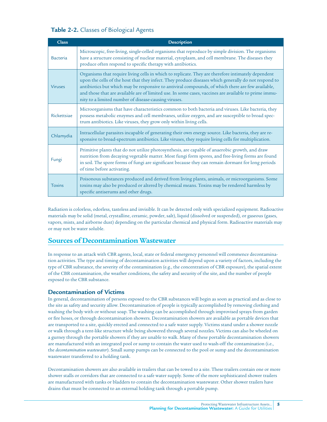|  | Table 2-2. Classes of Biological Agents |  |  |
|--|-----------------------------------------|--|--|
|  |                                         |  |  |

| <b>Class</b>    | <b>Description</b>                                                                                                                                                                                                                                                                                                                                                                                                                                                               |
|-----------------|----------------------------------------------------------------------------------------------------------------------------------------------------------------------------------------------------------------------------------------------------------------------------------------------------------------------------------------------------------------------------------------------------------------------------------------------------------------------------------|
| <b>Bacteria</b> | Microscopic, free-living, single-celled organisms that reproduce by simple division. The organisms<br>have a structure consisting of nuclear material, cytoplasm, and cell membrane. The diseases they<br>produce often respond to specific therapy with antibiotics.                                                                                                                                                                                                            |
| Viruses         | Organisms that require living cells in which to replicate. They are therefore intimately dependent<br>upon the cells of the host that they infect. They produce diseases which generally do not respond to<br>antibiotics but which may be responsive to antiviral compounds, of which there are few available,<br>and those that are available are of limited use. In some cases, vaccines are available to prime immu-<br>nity to a limited number of disease-causing viruses. |
| Rickettsiae     | Microorganisms that have characteristics common to both bacteria and viruses. Like bacteria, they<br>possess metabolic enzymes and cell membranes, utilize oxygen, and are susceptible to broad spec-<br>trum antibiotics. Like viruses, they grow only within living cells.                                                                                                                                                                                                     |
| Chlamydia       | Intracellular parasites incapable of generating their own energy source. Like bacteria, they are re-<br>sponsive to broad-spectrum antibiotics. Like viruses, they require living cells for multiplication.                                                                                                                                                                                                                                                                      |
| Fungi           | Primitive plants that do not utilize photosynthesis, are capable of anaerobic growth, and draw<br>nutrition from decaying vegetable matter. Most fungi form spores, and free-living forms are found<br>in soil. The spore forms of fungi are significant because they can remain dormant for long periods<br>of time before activating.                                                                                                                                          |
| <b>Toxins</b>   | Poisonous substances produced and derived from living plants, animals, or microorganisms. Some<br>toxins may also be produced or altered by chemical means. Toxins may be rendered harmless by<br>specific antiserums and other drugs.                                                                                                                                                                                                                                           |

Radiation is colorless, odorless, tasteless and invisible. It can be detected only with specialized equipment. Radioactive materials may be solid (metal, crystalline, ceramic, powder, salt), liquid (dissolved or suspended), or gaseous (gases, vapors, mists, and airborne dust) depending on the particular chemical and physical form. Radioactive materials may or may not be water soluble.

#### **Sources of Decontamination Wastewater**

In response to an attack with CBR agents, local, state or federal emergency personnel will commence decontamination activities. The type and timing of decontamination activities will depend upon a variety of factors, including the type of CBR substance, the severity of the contamination (e.g., the concentration of CBR exposure), the spatial extent of the CBR contamination, the weather conditions, the safety and security of the site, and the number of people exposed to the CBR substance.

#### **Decontamination of Victims**

In general, decontamination of persons exposed to the CBR substances will begin as soon as practical and as close to the site as safety and security allow. Decontamination of people is typically accomplished by removing clothing and washing the body with or without soap. The washing can be accomplished through improvised sprays from garden or fire hoses, or through decontamination showers. Decontamination showers are available as portable devices that are transported to a site, quickly erected and connected to a safe water supply. Victims stand under a shower nozzle or walk through a tent-like structure while being showered through several nozzles. Victims can also be wheeled on a gurney through the portable showers if they are unable to walk. Many of these portable decontamination showers are manufactured with an integrated pool or sump to contain the water used to wash-off the contamination (i.e., the *decontamination wastewater*). Small sump pumps can be connected to the pool or sump and the decontamination wastewater transferred to a holding tank.

Decontamination showers are also available in trailers that can be towed to a site. These trailers contain one or more shower stalls or corridors that are connected to a safe water supply. Some of the more sophisticated shower trailers are manufactured with tanks or bladders to contain the decontamination wastewater. Other shower trailers have drains that must be connected to an external holding tank through a portable pump.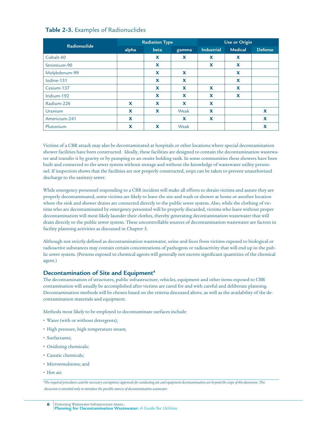| Table 2-3. Examples of Radionuclides |  |  |  |  |
|--------------------------------------|--|--|--|--|
|--------------------------------------|--|--|--|--|

| Radionuclide  | <b>Radiation Type</b> |      |             | Use or Origin     |                |                           |
|---------------|-----------------------|------|-------------|-------------------|----------------|---------------------------|
|               | alpha                 | beta | gamma       | <b>Industrial</b> | <b>Medical</b> | <b>Defense</b>            |
| Cobalt-60     |                       | X    | X           | $\mathbf x$       | X              |                           |
| Strontium-90  |                       | X    |             | X                 | $\mathbf x$    |                           |
| Molybdenum-99 |                       | X    | $\mathbf x$ |                   | $\mathbf x$    |                           |
| Iodine-131    |                       | X    | $\mathbf x$ |                   | $\mathbf x$    |                           |
| Cesium-137    |                       | X    | $\mathbf x$ | $\mathbf x$       | $\mathbf x$    |                           |
| Iridium-192   |                       | X    | $\mathbf x$ | $\mathbf x$       | $\mathbf x$    |                           |
| Radium-226    | $\mathbf x$           | X    | $\mathbf x$ | $\mathbf x$       |                |                           |
| Uranium       | $\mathbf x$           | X    | Weak        | $\mathbf x$       |                | X                         |
| Americium-241 | $\mathbf x$           |      | $\mathbf x$ | $\mathbf x$       |                | X                         |
| Plutonium     | $\mathbf x$           | X    | Weak        |                   |                | $\boldsymbol{\mathsf{x}}$ |

Victims of a CBR attack may also be decontaminated at hospitals or other locations where special decontamination shower facilities have been constructed. Ideally, these facilities are designed to contain the decontamination wastewater and transfer it by gravity or by pumping to an onsite holding tank. In some communities these showers have been built and connected to the sewer system without storage and without the knowledge of wastewater utility personnel. If inspection shows that the facilities are not properly constructed, steps can be taken to prevent unauthorized discharge to the sanitary sewer.

While emergency personnel responding to a CBR incident will make all efforts to detain victims and assure they are properly decontaminated, some victims are likely to leave the site and wash or shower at home or another location where the sink and shower drains are connected directly to the public sewer system. Also, while the clothing of victims who are decontaminated by emergency personnel will be properly discarded, victims who leave without proper decontamination will most likely launder their clothes, thereby generating decontamination wastewater that will drain directly to the public sewer system. These uncontrollable sources of decontamination wastewater are factors in facility planning activities as discussed in Chapter 3.

Although not strictly defined as decontamination wastewater, urine and feces from victims exposed to biological or radioactive substances may contain certain concentrations of pathogens or radioactivity that will end up in the public sewer system. (Persons exposed to chemical agents will generally not excrete significant quantities of the chemical agent.)

#### **Decontamination of Site and Equipment<sup>4</sup>**

The decontamination of structures, public infrastructure, vehicles, equipment and other items exposed to CBR contamination will usually be accomplished after victims are cared for and with careful and deliberate planning. Decontamination methods will be chosen based on the criteria discussed above, as well as the availability of the decontamination materials and equipment.

Methods most likely to be employed to decontaminate surfaces include:

- **•** Water (with or without detergents);
- **•** High pressure, high temperature steam;
- **•** Surfactants;
- **•** Oxidizing chemicals;
- **•** Caustic chemicals;
- **•** Microemulsions; and
- **•** Hot air.

*4 The required procedures and the necessary exemptions/approvals for conducting site and equipment decontamination are beyond the scope of this document. This discussion is intended only to introduce the possible sources of decontamination wasteeater.*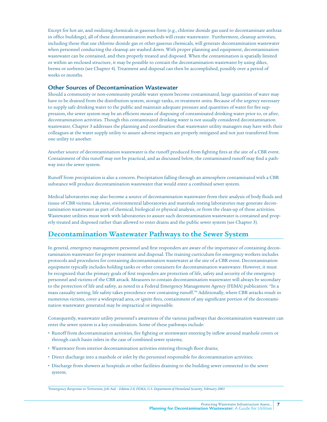Except for hot air, and oxidizing chemicals in gaseous form (e.g., chlorine dioxide gas used to decontaminate anthrax in office buildings), all of these decontamination methods will create wastewater. Furthermore, cleanup activities, including those that use chlorine dioxide gas or other gaseous chemicals, will generate decontamination wastewater when personnel conducting the cleanup are washed down. With proper planning and equipment, decontamination wastewater can be contained, and then properly treated and disposed. When the contamination is spatially limited or within an enclosed structure, it may be possible to contain the decontamination wastewater by using dikes, berms or sorbents (see Chapter 4). Treatment and disposal can then be accomplished, possibly over a period of weeks or months.

#### **Other Sources of Decontamination Wastewater**

Should a community or non-community potable water system become contaminated, large quantities of water may have to be drained from the distribution system, storage tanks, or treatment units. Because of the urgency necessary to supply safe drinking water to the public and maintain adequate pressure and quantities of water for fire suppression, the sewer system may be an efficient means of disposing of contaminated drinking water prior to, or after, decontamination activities. Though this contaminated drinking water is not usually considered decontamination wastewater, Chapter 3 addresses the planning and coordination that wastewater utility managers may have with their colleagues at the water supply utility to assure adverse impacts are properly mitigated and not just transferred from one utility to another.

Another source of decontamination wastewater is the runoff produced from fighting fires at the site of a CBR event. Containment of this runoff may not be practical, and as discussed below, the contaminated runoff may find a pathway into the sewer system.

Runoff from precipitation is also a concern. Precipitation falling through an atmosphere contaminated with a CBR substance will produce decontamination wastewater that would enter a combined sewer system.

Medical laboratories may also become a source of decontamination wastewater from their analysis of body fluids and tissue of CBR victims. Likewise, environmental laboratories and materials testing laboratories may generate decontamination wastewater as part of chemical, biological or physical analysis, or from the clean-up of those activities. Wastewater utilities must work with laboratories to assure such decontamination wastewater is contained and properly treated and disposed rather than allowed to enter drains and the public sewer system (see Chapter 3).

## **Decontamination Wastewater Pathways to the Sewer System**

In general, emergency management personnel and first responders are aware of the importance of containing decontamination wastewater for proper treatment and disposal. The training curriculum for emergency workers includes protocols and procedures for containing decontamination wastewater at the site of a CBR event. Decontamination equipment typically includes holding tanks or other containers for decontamination wastewater. However, it must be recognized that the primary goals of first responders are protection of life, safety and security of the emergency personnel and victims of the CBR attack. Measures to contain decontamination wastewater will always be secondary to the protection of life and safety, as noted in a Federal Emergency Management Agency (FEMA) publication: "In a mass casualty setting, life safety takes precedence over containing runoff."6 Additionally, where CBR attacks result in numerous victims, cover a widespread area, or ignite fires, containment of any significant portion of the decontamination wastewater generated may be impractical or impossible.

Consequently, wastewater utility personnel's awareness of the various pathways that decontamination wastewater can enter the sewer system is a key consideration. Some of these pathways include:

- Runoff from decontamination activities, fire fighting or stormwater entering by inflow around manhole covers or through catch basin inlets in the case of combined sewer systems;
- Wastewater from interior decontamination activities entering through floor drains;
- **•** Direct discharge into a manhole or inlet by the personnel responsible for decontamination activities;
- **•** Discharge from showers at hospitals or other facilities draining to the building sewer connected to the sewer system;

*6* Emergency Response to Terrorism, Job Aid *– Edition 2.0, FEMA, U.S. Department of Homeland Security, February 2003*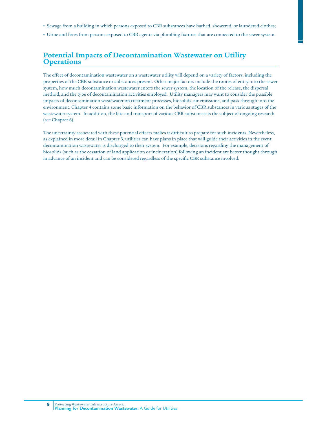- **•** Sewage from a building in which persons exposed to CBR substances have bathed, showered, or laundered clothes;
- Urine and feces from persons exposed to CBR agents via plumbing fixtures that are connected to the sewer system.

#### **Potential Impacts of Decontamination Wastewater on Utility Operations**

The effect of decontamination wastewater on a wastewater utility will depend on a variety of factors, including the properties of the CBR substance or substances present. Other major factors include the routes of entry into the sewer system, how much decontamination wastewater enters the sewer system, the location of the release, the dispersal method, and the type of decontamination activities employed. Utility managers may want to consider the possible impacts of decontamination wastewater on treatment processes, biosolids, air emissions, and pass-through into the environment. Chapter 4 contains some basic information on the behavior of CBR substances in various stages of the wastewater system. In addition, the fate and transport of various CBR substances is the subject of ongoing research (see Chapter 6).

The uncertainty associated with these potential effects makes it difficult to prepare for such incidents. Nevertheless, as explained in more detail in Chapter 3, utilities can have plans in place that will guide their activities in the event decontamination wastewater is discharged to their system. For example, decisions regarding the management of biosolids (such as the cessation of land application or incineration) following an incident are better thought through in advance of an incident and can be considered regardless of the specific CBR substance involved.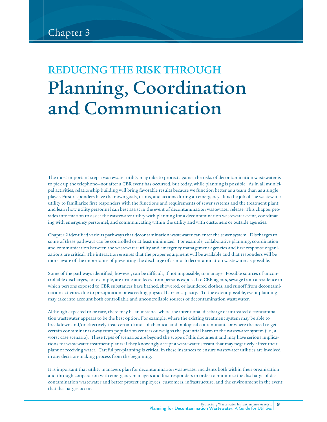## REDUCING THE RISK THROUGH Planning, Coordination and Communication

The most important step a wastewater utility may take to protect against the risks of decontamination wastewater is to pick up the telephone—not after a CBR event has occurred, but today, while planning is possible. As in all municipal activities, relationship building will bring favorable results because we function better as a team than as a single player. First responders have their own goals, teams, and actions during an emergency. It is the job of the wastewater utility to familiarize first responders with the functions and requirements of sewer systems and the treatment plant, and learn how utility personnel can best assist in the event of decontamination wastewater release. This chapter provides information to assist the wastewater utility with planning for a decontamination wastewater event, coordinating with emergency personnel, and communicating within the utility and with customers or outside agencies.

Chapter 2 identified various pathways that decontamination wastewater can enter the sewer system. Discharges to some of these pathways can be controlled or at least minimized. For example, collaborative planning, coordination and communication between the wastewater utility and emergency management agencies and first response organizations are critical. The interaction ensures that the proper equipment will be available and that responders will be more aware of the importance of preventing the discharge of as much decontamination wastewater as possible.

Some of the pathways identified, however, can be difficult, if not impossible, to manage. Possible sources of uncontrollable discharges, for example, are urine and feces from persons exposed to CBR agents, sewage from a residence in which persons exposed to CBR substances have bathed, showered, or laundered clothes, and runoff from decontamination activities due to precipitation or exceeding physical barrier capacity. To the extent possible, event planning may take into account both controllable and uncontrollable sources of decontamination wastewater.

Although expected to be rare, there may be an instance where the intentional discharge of untreated decontamination wastewater appears to be the best option. For example, where the existing treatment system may be able to breakdown and/or effectively treat certain kinds of chemical and biological contaminants or where the need to get certain contaminants away from population centers outweighs the potential harm to the wastewater system (i.e., a worst case scenario). These types of scenarios are beyond the scope of this document and may have serious implications for wastewater treatment plants if they knowingly accept a wastewater stream that may negatively affect their plant or receiving water. Careful pre-planning is critical in these instances to ensure wastewater utilities are involved in any decision-making process from the beginning.

It is important that utility managers plan for decontamination wastewater incidents both within their organization and through cooperation with emergency managers and first responders in order to minimize the discharge of decontamination wastewater and better protect employees, customers, infrastructure, and the environment in the event that discharges occur.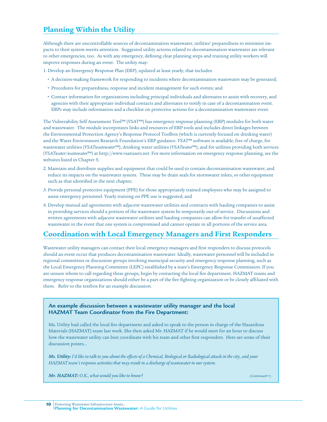## **Planning Within the Utility**

Although there are uncontrollable sources of decontamination wastewater, utilities' preparedness to minimize impacts to their system merits attention. Suggested utility actions related to decontamination wastewater are relevant to other emergencies, too. As with any emergency, defining clear planning steps and training utility workers will improve responses during an event. The utility may:

1. Develop an Emergency Response Plan (ERP), updated at least yearly, that includes:

- **•** A decision-making framework for responding to incidents where decontamination wastewater may be generated;
- **•** Procedures for preparedness, response and incident management for such events; and
- **•** Contact information for organizations including principal individuals and alternates to assist with recovery, and agencies with their appropriate individual contacts and alternates to notify in case of a decontamination event. ERPs may include information and a checklist on protective actions for a decontamination wastewater event.

The Vulnerability Self Assessment Tool™ (*VSAT*™) has emergency response planning (ERP) modules for both water and wastewater. The module incorporates links and resources of ERP tools and includes direct linkages between the Environmental Protection Agency's Response Protocol Toolbox (which is currently focused on drinking water) and the Water Environment Research Foundation's ERP guidance. *VSAT*™ software is available, free of charge, for wastewater utilities (*VSATwastewater*™), drinking water utilities (*VSATwater*™), and for utilities providing both services (*VSATwater/wastewater*™) at http://www.vsatusers.net. For more information on emergency response planning, see the websites listed in Chapter 5;

- 2. Maintain and distribute supplies and equipment that could be used to contain decontamination wastewater, and reduce its impacts on the wastewater system. These may be drain seals for stormwater inlets, or other equipment such as that identified in the next chapter;
- 3. Provide personal protective equipment (PPE) for those appropriately trained employees who may be assigned to assist emergency personnel. Yearly training on PPE use is suggested; and
- 4. Develop mutual aid agreements with adjacent wastewater utilities and contracts with hauling companies to assist in providing services should a portion of the wastewater system be temporarily out-of-service. Discussions and written agreements with adjacent wastewater utilities and hauling companies can allow for transfer of unaffected wastewater in the event that one system is compromised and cannot operate in all portions of the service area.

## **Coordination with Local Emergency Managers and First Responders**

Wastewater utility managers can contact their local emergency managers and first responders to discuss protocols should an event occur that produces decontamination wastewater. Ideally, wastewater personnel will be included in regional committees or discussion groups involving municipal security and emergency response planning, such as the Local Emergency Planning Committee (LEPC) established by a state's Emergency Response Commission. If you are unsure whom to call regarding these groups, begin by contacting the local fire department. HAZMAT teams and emergency response organizations should either be a part of the fire-fighting organization or be closely affiliated with them. Refer to the textbox for an example discussion.

#### **An example discussion between a wastewater utility manager and the local HAZMAT Team Coordinator from the Fire Department:**

Ms. Utility had called the local fire department and asked to speak to the person in charge of the Hazardous Materials (HAZMAT) team last week. She then asked Mr. HAZMAT if he would meet for an hour to discuss how the wastewater utility can best coordinate with his team and other first responders. Here are some of their discussion points…

*Ms. Utility: I'd like to talk to you about the effects of a Chemical, Biological or Radiological attack in the city, and your HAZMAT team's response activities that may result in a discharge of wastewater to our system.* 

*Mr. HAZMAT:* O.K., *what would you like to know? (Continued>>)* (Continued>>)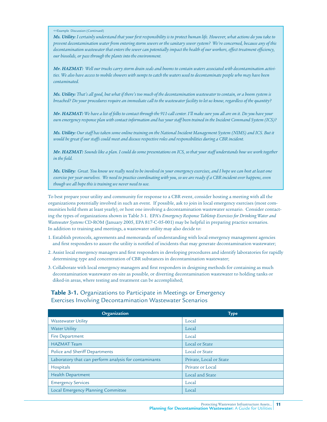<<Example Discussion (Continued)

*Ms. Utility: I certainly understand that your first responsibility is to protect human life. However, what actions do you take to prevent decontamination water from entering storm sewers or the sanitary sewer system? We're concerned, because any of this*  decontamination wastewater that enters the sewer can potentially impact the health of our workers, effect treatment efficiency, *our biosolids, or pass through the plants into the environment.*

*Mr. HAZMAT: Well our trucks carry storm drain seals and booms to contain waters associated with decontamination activities. We also have access to mobile showers with sumps to catch the waters used to decontaminate people who may have been contaminated.* 

*Ms. Utility: That's all good, but what if there's too much of the decontamination wastewater to contain, or a boom system is breached? Do your procedures require an immediate call to the wastewater facility to let us know, regardless of the quantity?*

*Mr. HAZMAT: We have a list of folks to contact through the 911-call center. I'll make sure you all are on it. Do you have your own emergency response plan with contact information and has your staff been trained in the Incident Command System (ICS)?* 

*Ms. Utility: Our staff has taken some online training on the National Incident Management System (NIMS) and ICS. But it would be great if our staffs could meet and discuss respective roles and responsibilities during a CBR incident.*

*Mr. HAZMAT: Sounds like a plan. I could do some presentations on ICS, so that your staff understands how we work together in the field.* 

*Ms. Utility: Great. You know we really need to be involved in your emergency exercises, and I hope we can host at least one exercise per year ourselves. We need to practice coordinating with you, so we are ready if a CBR incident ever happens, even though we all hope this is training we never need to use.*

To best prepare your utility and community for response to a CBR event, consider hosting a meeting with all the organizations potentially involved in such an event. If possible, ask to join in local emergency exercises (most communities hold them at least yearly), or host one involving a decontamination wastewater scenario. Consider contacting the types of organizations shown in Table 3-1. EPA's *Emergency Response Tabletop Exercises for Drinking Water and Wastewater Systems* CD-ROM (January 2005, EPA 817-C-05-001) may be helpful in preparing practice scenarios. In addition to training and meetings, a wastewater utility may also decide to:

- 1. Establish protocols, agreements and memoranda of understanding with local emergency management agencies and first responders to assure the utility is notified of incidents that may generate decontamination wastewater;
- 2. Assist local emergency managers and first responders in developing procedures and identify laboratories for rapidly determining type and concentration of CBR substances in decontamination wastewater;
- 3. Collaborate with local emergency managers and first responders in designing methods for containing as much decontamination wastewater on-site as possible, or diverting decontamination wastewater to holding tanks or diked-in areas, where testing and treatment can be accomplished;

#### **Table 3-1.** Organizations to Participate in Meetings or Emergency Exercises Involving Decontamination Wastewater Scenarios

| Organization                                          | <b>Type</b>             |
|-------------------------------------------------------|-------------------------|
| <b>Wastewater Utility</b>                             | Local                   |
| <b>Water Utility</b>                                  | Local                   |
| Fire Department                                       | Local                   |
| <b>HAZMAT</b> Team                                    | Local or State          |
| Police and Sheriff Departments                        | Local or State          |
| Laboratory that can perform analysis for contaminants | Private, Local or State |
| <b>Hospitals</b>                                      | Private or Local        |
| <b>Health Department</b>                              | Local and State         |
| <b>Emergency Services</b>                             | Local                   |
| Local Emergency Planning Committee                    | Local                   |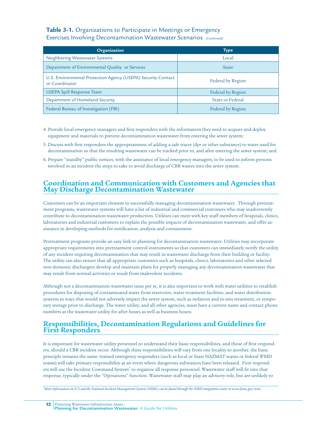## **Table 3-1.** Organizations to Participate in Meetings or Emergency

|  |  |  |  |  | Exercises Involving Decontamination Wastewater Scenarios (Continued) |
|--|--|--|--|--|----------------------------------------------------------------------|
|--|--|--|--|--|----------------------------------------------------------------------|

| Organization                                                                    | <b>Type</b>       |
|---------------------------------------------------------------------------------|-------------------|
| Neighboring Wastewater Systems                                                  | Local             |
| Department of Environmental Quality or Services                                 | <b>State</b>      |
| U.S. Environmental Protection Agency (USEPA) Security Contact<br>or Coordinator | Federal by Region |
| <b>USEPA Spill Response Team</b>                                                | Federal by Region |
| Department of Homeland Security                                                 | State or Federal  |
| Federal Bureau of Investigation (FBI)                                           | Federal by Region |

- 4. Provide local emergency managers and first responders with the information they need to acquire and deploy equipment and materials to prevent decontamination wastewater from entering the sewer system;
- 5. Discuss with first responders the appropriateness of adding a safe tracer (dye or other substance) to water used for decontamination so that the resulting wastewater can be tracked prior to, and after entering the sewer system; and
- 6. Prepare "standby" public notices, with the assistance of local emergency managers, to be used to inform persons involved in an incident the steps to take to avoid discharge of CBR wastes into the sewer system.

#### **Coordination and Communication with Customers and Agencies that May Discharge Decontamination Wastewater**

Customers can be an important element to successfully managing decontamination wastewater. Through pretreatment programs, wastewater systems will have a list of industrial and commercial customers who may inadvertently contribute to decontamination wastewater production. Utilities can meet with key staff members of hospitals, clinics, laboratories and industrial customers to explain the possible impacts of decontamination wastewater, and offer assistance in developing methods for notification, analysis and containment.

Pretreatment programs provide an easy link to planning for decontamination wastewater. Utilities may incorporate appropriate requirements into pretreatment control instruments so that customers can immediately notify the utility of any incident requiring decontamination that may result in wastewater discharge from their building or facility. The utility can also ensure that all appropriate customers such as hospitals, clinics, laboratories and other selected non-domestic dischargers develop and maintain plans for properly managing any decontamination wastewater that may result from normal activities or result from malevolent incidents.

Although not a decontamination wastewater issue per se, it is also important to work with water utilities to establish procedures for disposing of contaminated water from reservoirs, water treatment facilities, and water distribution systems in ways that would not adversely impact the sewer system, such as isolation and in-situ treatment, or temporary storage prior to discharge. The water utility, and all other agencies, must have a current name and contact phone numbers at the wastewater utility for after hours as well as business hours.

#### **Responsibilities, Decontamination Regulations and Guidelines for First Responders**

It is important for wastewater utility personnel to understand their basic responsibilities, and those of first responders, should a CBR incident occur. Although these responsibilities will vary from one locality to another, the basic principle remains the same: trained emergency responders (such as local or State HAZMAT teams or federal WMD teams) will take primary responsibility at an event where dangerous substances have been released. First responders will use the Incident Command System<sup>7</sup> to organize all response personnel. Wastewater staff will fit into that response, typically under the "Operations" function. Wastewater staff may play an advisory role, but are unlikely to

*7 More information on ICS and the National Incident Management System (NIMS) can be found through the NIMS integration center at www.fema.gov/nims*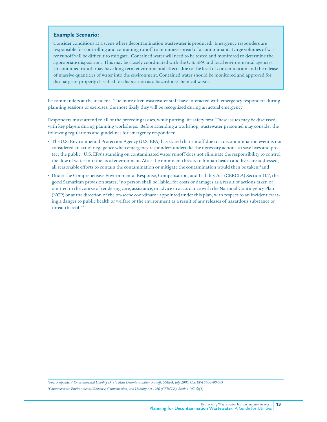#### **Example Scenario:**

Consider conditions at a scene where decontamination wastewater is produced. Emergency responders are responsible for controlling and containing runoff to minimize spread of a contaminant. Large volumes of water runoff will be difficult to mitigate. Contained water will need to be tested and monitored to determine the appropriate disposition. This may be closely coordinated with the U.S. EPA and local environmental agencies. Uncontained runoff may have long-term environmental effects due to the level of contamination and the release of massive quantities of water into the environment. Contained water should be monitored and approved for discharge or properly classified for disposition as a hazardous/chemical waste.

be commanders at the incident. The more often wastewater staff have interacted with emergency responders during planning sessions or exercises, the more likely they will be recognized during an actual emergency.

Responders must attend to all of the preceding issues, while putting life safety first. These issues may be discussed with key players during planning workshops. Before attending a workshop, wastewater personnel may consider the following regulations and guidelines for emergency responders:

- **•** The U.S. Environmental Protection Agency (U.S. EPA) has stated that runoff due to a decontamination event is not considered an act of negligence when emergency responders undertake the necessary actions to save lives and protect the public. U.S. EPA's standing on contaminated water runoff does not eliminate the responsibility to control the flow of water into the local environment. After the imminent threats to human health and lives are addressed, all reasonable efforts to contain the contamination or mitigate the contamination would then be taken;<sup>8</sup> and
- **•** Under the Comprehensive Environmental Response, Compensation, and Liability Act (CERCLA) Section 107, the good Samaritan provision states, "no person shall be liable…for costs or damages as a result of actions taken or omitted in the course of rendering care, assistance, or advice in accordance with the National Contingency Plan (NCP) or at the direction of the on-scene coordinator appointed under this plan, with respect to an incident creating a danger to public health or welfare or the environment as a result of any releases of hazardous substance or threat thereof."9

*8 First Responders' Environmental Liability Due to Mass Decontamination Runoff, USEPA, July 2000, U.S. EPA 550-F-00-009 9 Comprehensive Environmental Response, Compensation, and Liability Act 1980 (CERCLA). Section 107(d)(1).*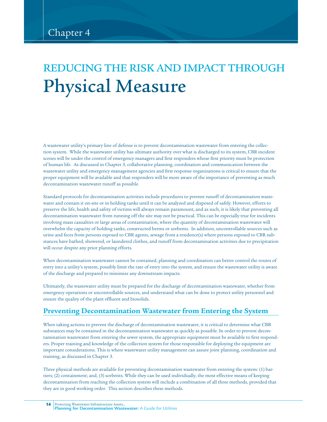## REDUCING THE RISK AND IMPACT THROUGH Physical Measure

A wastewater utility's primary line of defense is to prevent decontamination wastewater from entering the collection system. While the wastewater utility has ultimate authority over what is discharged to its system, CBR incident scenes will be under the control of emergency managers and first responders whose first priority must be protection of human life. As discussed in Chapter 3, collaborative planning, coordination and communication between the wastewater utility and emergency management agencies and first response organizations is critical to ensure that the proper equipment will be available and that responders will be more aware of the importance of preventing as much decontamination wastewater runoff as possible.

Standard protocols for decontamination activities include procedures to prevent runoff of decontamination wastewater and contain it on-site or in holding tanks until it can be analyzed and disposed of safely. However, efforts to preserve the life, health and safety of victims will always remain paramount, and as such, it is likely that preventing all decontamination wastewater from running off the site may not be practical. This can be especially true for incidents involving mass casualties or large areas of contamination, where the quantity of decontamination wastewater will overwhelm the capacity of holding tanks, constructed berms or sorbents. In addition, uncontrollable sources such as urine and feces from persons exposed to CBR agents, sewage from a residence(s) where persons exposed to CBR substances have bathed, showered, or laundered clothes, and runoff from decontamination activities due to precipitation will occur despite any prior planning efforts.

When decontamination wastewater cannot be contained, planning and coordination can better control the routes of entry into a utility's system, possibly limit the rate of entry into the system, and ensure the wastewater utility is aware of the discharge and prepared to minimize any downstream impacts.

Ultimately, the wastewater utility must be prepared for the discharge of decontamination wastewater, whether from emergency operations or uncontrollable sources, and understand what can be done to protect utility personnel and ensure the quality of the plant effluent and biosolids.

### **Preventing Decontamination Wastewater from Entering the System**

When taking actions to prevent the discharge of decontamination wastewater, it is critical to determine what CBR substances may be contained in the decontamination wastewater as quickly as possible. In order to prevent decontamination wastewater from entering the sewer system, the appropriate equipment must be available to first responders. Proper training and knowledge of the collection system for those responsible for deploying the equipment are important considerations. This is where wastewater utility management can assure joint planning, coordination and training, as discussed in Chapter 3.

Three physical methods are available for preventing decontamination wastewater from entering the system: (1) barriers; (2) containment; and, (3) sorbents. While they can be used individually, the most effective means of keeping decontamination from reaching the collection system will include a combination of all three methods, provided that they are in good working order. This section describes these methods.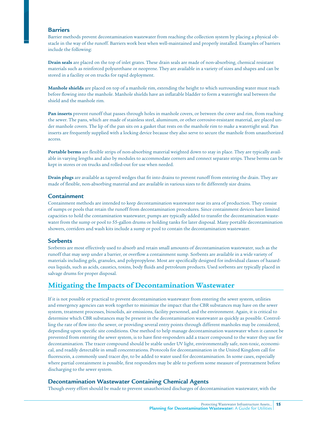#### **Barriers**

Barrier methods prevent decontamination wastewater from reaching the collection system by placing a physical obstacle in the way of the runoff. Barriers work best when well-maintained and properly installed. Examples of barriers include the following:

**Drain seals** are placed on the top of inlet grates. These drain seals are made of non-absorbing, chemical resistant materials such as reinforced polyurethane or neoprene. They are available in a variety of sizes and shapes and can be stored in a facility or on trucks for rapid deployment.

**Manhole shields** are placed on top of a manhole rim, extending the height to which surrounding water must reach before flowing into the manhole. Manhole shields have an inflatable bladder to form a watertight seal between the shield and the manhole rim.

**Pan inserts** prevent runoff that passes through holes in manhole covers, or between the cover and rim, from reaching the sewer. The pans, which are made of stainless steel, aluminum, or other corrosive-resistant material, are placed under manhole covers. The lip of the pan sits on a gasket that rests on the manhole rim to make a watertight seal. Pan inserts are frequently supplied with a locking device because they also serve to secure the manhole from unauthorized access.

Portable berms are flexible strips of non-absorbing material weighted down to stay in place. They are typically available in varying lengths and also by modules to accommodate corners and connect separate strips. These berms can be kept in stores or on trucks and rolled-out for use when needed.

Drain plugs are available as tapered wedges that fit into drains to prevent runoff from entering the drain. They are made of flexible, non-absorbing material and are available in various sizes to fit differently size drains.

#### **Containment**

Containment methods are intended to keep decontamination wastewater near its area of production. They consist of sumps or pools that retain the runoff from decontamination procedures. Since containment devices have limited capacities to hold the contamination wastewater, pumps are typically added to transfer the decontamination wastewater from the sump or pool to 55-gallon drums or holding tanks for later disposal. Many portable decontamination showers, corridors and wash kits include a sump or pool to contain the decontamination wastewater.

#### **Sorbents**

Sorbents are most effectively used to absorb and retain small amounts of decontamination wastewater, such as the runoff that may seep under a barrier, or overflow a containment sump. Sorbents are available in a wide variety of materials including gels, granules, and polypropylene. Most are specifically designed for individual classes of hazardous liquids, such as acids, caustics, toxins, body fluids and petroleum products. Used sorbents are typically placed in salvage drums for proper disposal.

### **Mitigating the Impacts of Decontamination Wastewater**

If it is not possible or practical to prevent decontamination wastewater from entering the sewer system, utilities and emergency agencies can work together to minimize the impact that the CBR substances may have on the sewer system, treatment processes, biosolids, air emissions, facility personnel, and the environment. Again, it is critical to determine which CBR substances may be present in the decontamination wastewater as quickly as possible. Controlling the rate of flow into the sewer, or providing several entry points through different manholes may be considered, depending upon specific site conditions. One method to help manage decontamination wastewater when it cannot be prevented from entering the sewer system, is to have first-responders add a tracer compound to the water they use for decontamination. The tracer compound should be stable under UV light, environmentally safe, non-toxic, economical, and readily detectable in small concentrations. Protocols for decontamination in the United Kingdom call for fluorescein, a commonly used tracer dye, to be added to water used for decontamination. In some cases, especially where partial containment is possible, first responders may be able to perform some measure of pretreatment before discharging to the sewer system.

#### **Decontamination Wastewater Containing Chemical Agents**

Though every effort should be made to prevent unauthorized discharges of decontamination wastewater, with the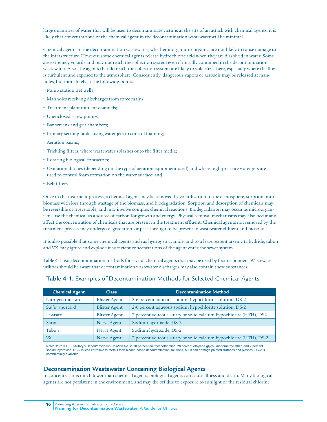large quantities of water that will be used to decontaminate victims at the site of an attack with chemical agents, it is likely that concentrations of the chemical agent in the decontamination wastewater will be minimal.

Chemical agents in the decontamination wastewater, whether inorganic or organic, are not likely to cause damage to the infrastructure. However, some chemical agents release hydrochloric acid when they are dissolved in water. Some are extremely volatile and may not reach the collection system even if initially contained in the decontamination wastewater. Also, the agents that do reach the collection system are likely to volatilize there, especially where the flow is turbulent and exposed to the atmosphere. Consequently, dangerous vapors or aerosols may be released at manholes, but more likely at the following points:

- **•** Pump station wet wells;
- **•** Manholes receiving discharges from force mains;
- Treatment plant influent channels;
- **•** Unenclosed screw pumps;
- **•** Bar screens and grit chambers;
- **•** Primary settling tanks using water jets to control foaming;
- **•** Aeration basins;
- Trickling filters, where wastewater splashes onto the filter media;
- **•** Rotating biological contactors;
- **•** Oxidation ditches (depending on the type of aeration equipment used) and where high-pressure water jets are used to control foam formation on the water surface; and
- Belt filters

Once in the treatment process, a chemical agent may be removed by volatilization to the atmosphere, sorption onto biomass with loss through wastage of the biomass, and biodegradation. Sorption and desorption of chemicals may be reversible or irreversible, and may involve complex chemical reactions. Biodegradation may occur as microorganisms use the chemical as a source of carbon for growth and energy. Physical removal mechanisms may also occur and affect the concentration of chemicals that are present in the treatment effluent. Chemical agents not removed by the treatment process may undergo degradation, or pass through to be present in wastewater effluent and biosolids.

It is also possible that some chemical agents such as hydrogen cyanide, and to a lesser extent arsenic trihydride, tabun and VX, may ignite and explode if sufficient concentrations of the agent enter the sewer system.

Table 4-1 lists decontamination methods for several chemical agents that may be used by first responders. Wastewater utilities should be aware that decontamination wastewater discharges may also contain these substances.

| <b>Chemical Agent</b> | <b>Class</b>         | <b>Decontamination Method</b>                                      |
|-----------------------|----------------------|--------------------------------------------------------------------|
| Nitrogen mustard      | <b>Blister Agent</b> | 2-6 percent aqueous sodium hypochlorite solution, DS-2             |
| Sulfur mustard        | <b>Blister Agent</b> | 2-6 percent aqueous sodium hypochlorite solution, DS-2             |
| Lewisite              | <b>Blister Agent</b> | 7 percent aqueous slurry or solid calcium hypochlorite (HTH), DS2  |
| Sarin                 | Nerve Agent          | Sodium hydroxide, DS-2                                             |
| Tabun                 | Nerve Agent          | Sodium hydroxide, DS-2                                             |
| <b>VX</b>             | Nerve Agent          | 7 percent aqueous slurry or solid calcium hypochlorite (HTH), DS-2 |

#### **Table 4-1.** Examples of Decontamination Methods for Selected Chemical Agents

Note: DS-2 is U.S. Military's *Decontamination Solution No. 2,* 70 percent diethylenetriamine, 28 percent ethylene glycol, monomethyl ether, and 2 percent sodium hydroxide. DS-2 is less corrosive to metals than bleach-based decontamination solutions, but it can damage painted surfaces and plastics. DS-2 is commercially available.

#### **Decontamination Wastewater Containing Biological Agents**

In concentrations much lower than chemical agents, biological agents can cause illness and death. Many biological agents are not persistent in the environment, and may die off due to exposure to sunlight or the residual chlorine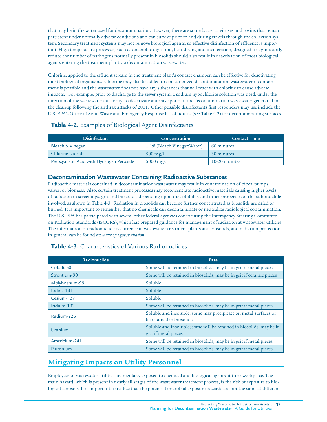that may be in the water used for decontamination. However, there are some bacteria, viruses and toxins that remain persistent under normally adverse conditions and can survive prior to and during travels through the collection system. Secondary treatment systems may not remove biological agents, so effective disinfection of effluents is important. High temperature processes, such as anaerobic digestion, heat drying and incineration, designed to significantly reduce the number of pathogens normally present in biosolids should also result in deactivation of most biological agents entering the treatment plant via decontamination wastewater.

Chlorine, applied to the effluent stream in the treatment plant's contact chamber, can be effective for deactivating most biological organisms. Chlorine may also be added to containerized decontamination wastewater if containment is possible and the wastewater does not have any substances that will react with chlorine to cause adverse impacts. For example, prior to discharge to the sewer system, a sodium hypochlorite solution was used, under the direction of the wastewater authority, to deactivate anthrax spores in the decontamination wastewater generated in the cleanup following the anthrax attacks of 2001. Other possible disinfectants first responders may use include the U.S. EPA's Office of Solid Waste and Emergency Response list of liquids (see Table 4-2) for decontaminating surfaces.

#### **Table 4-2.** Examples of Biological Agent Disinfectants

| <b>Disinfectant</b>                      | Concentration                | <b>Contact Time</b> |
|------------------------------------------|------------------------------|---------------------|
| Bleach & Vinegar                         | 1:1:8 (Bleach:Vinegar:Water) | 60 minutes          |
| <b>Chlorine Dioxide</b>                  | $500 \text{ mg/l}$           | 30 minutes          |
| Peroxyacetic Acid with Hydrogen Peroxide | $5000 \,\mathrm{mg}/l$       | 10-20 minutes       |

#### **Decontamination Wastewater Containing Radioactive Substances**

Radioactive materials contained in decontamination wastewater may result in contamination of pipes, pumps, valves, or biomass. Also, certain treatment processes may reconcentrate radioactive materials causing higher levels of radiation in screenings, grit and biosolids, depending upon the solubility and other properties of the radionuclide involved, as shown in Table 4-3. Radiation in biosolids can become further concentrated as biosolids are dried or burned. It is important to remember that no chemicals can decontaminate or neutralize radiological contamination. The U.S. EPA has participated with several other federal agencies constituting the Interagency Steering Committee on Radiation Standards (ISCORS), which has prepared guidance for management of radiation at wastewater utilities. The information on radionuclide occurrence in wastewater treatment plants and biosolids, and radiation protection in general can be found at: *www.epa.gov/radiation*.

| Radionuclide  | Fate                                                                                         |
|---------------|----------------------------------------------------------------------------------------------|
| Cobalt-60     | Some will be retained in biosolids, may be in grit if metal pieces                           |
| Strontium-90  | Some will be retained in biosolids, may be in grit if ceramic pieces                         |
| Molybdenum-99 | Soluble                                                                                      |
| Iodine-131    | Soluble                                                                                      |
| Cesium-137    | Soluble                                                                                      |
| Iridium-192   | Some will be retained in biosolids, may be in grit if metal pieces                           |
| Radium-226    | Soluble and insoluble; some may precipitate on metal surfaces or<br>be retained in biosolids |
| Uranium       | Soluble and insoluble; some will be retained in biosolids, may be in<br>grit if metal pieces |
| Americium-241 | Some will be retained in biosolids, may be in grit if metal pieces                           |
| Plutonium     | Some will be retained in biosolids, may be in grit if metal pieces                           |

#### **Table 4-3.** Characteristics of Various Radionuclides

## **Mitigating Impacts on Utility Personnel**

Employees of wastewater utilities are regularly exposed to chemical and biological agents at their workplace. The main hazard, which is present in nearly all stages of the wastewater treatment process, is the risk of exposure to biological aerosols. It is important to realize that the potential microbial exposure hazards are not the same at different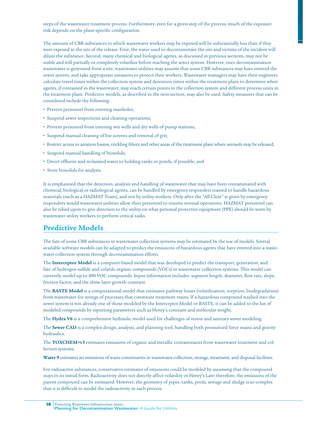steps of the wastewater treatment process. Furthermore, even for a given step of the process, much of the exposure risk depends on the plant-specific configuration.

The amount of CBR substances to which wastewater workers may be exposed will be substantially less than if they were exposed at the site of the release. First, the water used to decontaminate the site and victims of the incident will dilute the substance. Second, many chemical and biological agents, as discussed in previous sections, may not be stable and will partially or completely volatilize before reaching the sewer system. However, once decontamination wastewater is generated from a site, wastewater utilities may assume that some CBR substances may have entered the sewer system, and take appropriate measures to protect their workers. Wastewater managers may have their engineers calculate travel times within the collection system and detention times within the treatment plant to determine when agents, if contained in the wastewater, may reach certain points in the collection system and different process units in the treatment plant. Predictive models, as described in the next section, may also be used. Safety measures that can be considered include the following:

- Prevent personnel from entering manholes;
- Suspend sewer inspections and cleaning operations;
- Prevent personnel from entering wet wells and dry wells of pump stations;
- Suspend manual cleaning of bar screens and removal of grit;
- Restrict access to aeration basins, trickling fi lters and other areas of the treatment plant where aerosols may be released;
- Suspend manual handling of biosolids;
- Divert effluent and reclaimed water to holding tanks or ponds, if possible; and
- Store biosolids for analysis.

It is emphasized that the detection, analysis and handling of wastewater that may have been contaminated with chemical, biological or radiological agents, can be handled by emergency responders trained to handle hazardous materials (such as a HAZMAT Team), and not by utility workers. Only after the "All Clear" is given by emergency responders would wastewater utilities allow their personnel to resume normal operations. HAZMAT personnel can also be relied upon to give direction to the utility on what personal protective equipment (PPE) should be worn by wastewater utility workers to perform critical tasks.

## **Predictive Models**

The fate of some CBR substances in wastewater collection systems may be estimated by the use of models. Several available software models can be adapted to predict the emissions of hazardous agents that have entered into a wastewater collection system through decontamination efforts.

The **Interceptor Model** is a computer-based model that was developed to predict the transport, generation, and fate of hydrogen sulfide and volatile organic compounds (VOCs) in wastewater collection systems. This model can currently model up to 400 VOC compounds. Input information includes: segment length, diameter, flow rate, slope, friction factor, and the slime layer growth constant.

The **BASTE Model** is a computational model that estimates pathway losses (volatilization, sorption, biodegradation) from wastewater for strings of processes that constitute treatment trains. If a hazardous compound washed into the sewer system is not already one of those modeled by the Interceptor Model or BASTE, it can be added to the list of modeled compounds by inputting parameters such as Henry's constant and molecular weight.

The **Hydra V6** is a comprehensive hydraulic model used for challenges of storm and sanitary sewer modeling.

The **Sewer CAD** is a complex design, analysis, and planning tool, handling both pressurized force mains and gravity hydraulics.

The **TOXCHEM+v3** estimates emissions of organic and metallic contaminants from wastewater treatment and collection systems.

**Water 9** estimates air emissions of waste constituents in wastewater collection, storage, treatment, and disposal facilities.

For radioactive substances, conservative estimates of emissions could be modeled by assuming that the compound stays in its initial form. Radioactivity does not directly affect volatility or Henry's Law; therefore, the emissions of the parent compound can be estimated. However, the geometry of pipes, tanks, pools, sewage and sludge is so complex that it is difficult to model the radioactivity in each process.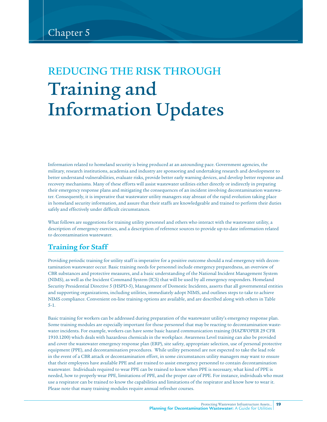## REDUCING THE RISK THROUGH Training and Information Updates

Information related to homeland security is being produced at an astounding pace. Government agencies, the military, research institutions, academia and industry are sponsoring and undertaking research and development to better understand vulnerabilities, evaluate risks, provide better early warning devices, and develop better response and recovery mechanisms. Many of these efforts will assist wastewater utilities either directly or indirectly in preparing their emergency response plans and mitigating the consequences of an incident involving decontamination wastewater. Consequently, it is imperative that wastewater utility managers stay abreast of the rapid evolution taking place in homeland security information, and assure that their staffs are knowledgeable and trained to perform their duties safely and effectively under difficult circumstances.

What follows are suggestions for training utility personnel and others who interact with the wastewater utility, a description of emergency exercises, and a description of reference sources to provide up-to-date information related to decontamination wastewater.

## **Training for Staff**

Providing periodic training for utility staff is imperative for a positive outcome should a real emergency with decontamination wastewater occur. Basic training needs for personnel include emergency preparedness, an overview of CBR substances and protective measures, and a basic understanding of the National Incident Management System (NIMS), as well as the Incident Command System (ICS) that will be used by all emergency responders. Homeland Security Presidential Directive 5 (HSPD-5), Management of Domestic Incidents, asserts that all governmental entities and supporting organizations, including utilities, immediately adopt NIMS, and outlines steps to take to achieve NIMS compliance. Convenient on-line training options are available, and are described along with others in Table 5-1.

Basic training for workers can be addressed during preparation of the wastewater utility's emergency response plan. Some training modules are especially important for those personnel that may be reacting to decontamination wastewater incidents. For example, workers can have some basic hazard communication training (HAZWOPER 29 CFR 1910.1200) which deals with hazardous chemicals in the workplace. Awareness Level training can also be provided and cover the wastewater emergency response plan (ERP), site safety, appropriate selection, use of personal protective equipment (PPE), and decontamination procedures. While utility personnel are not expected to take the lead role in the event of a CBR attack or decontamination effort, in some circumstances utility managers may want to ensure that their employees have available PPE and are trained to assist emergency personnel to contain decontamination wastewater. Individuals required to wear PPE can be trained to know when PPE is necessary, what kind of PPE is needed, how to properly wear PPE, limitations of PPE, and the proper care of PPE. For instance, individuals who must use a respirator can be trained to know the capabilities and limitations of the respirator and know how to wear it. Please note that many training modules require annual refresher courses.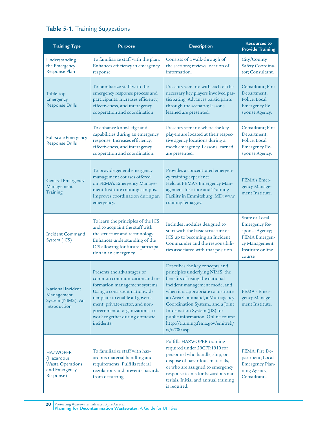## **Table 5-1.** Training Suggestions

| <b>Training Type</b>                                                                   | <b>Purpose</b>                                                                                                                                                                                                                                                                   | <b>Description</b>                                                                                                                                                                                                                                                                                                                                                             | <b>Resources to</b><br><b>Provide Training</b>                                                                           |
|----------------------------------------------------------------------------------------|----------------------------------------------------------------------------------------------------------------------------------------------------------------------------------------------------------------------------------------------------------------------------------|--------------------------------------------------------------------------------------------------------------------------------------------------------------------------------------------------------------------------------------------------------------------------------------------------------------------------------------------------------------------------------|--------------------------------------------------------------------------------------------------------------------------|
| Understanding<br>the Emergency<br>Response Plan                                        | To familiarize staff with the plan.<br>Enhances efficiency in emergency<br>response.                                                                                                                                                                                             | Consists of a walk-through of<br>the sections; reviews location of<br>information.                                                                                                                                                                                                                                                                                             | City/County<br>Safety Coordina-<br>tor; Consultant.                                                                      |
| Table-top<br>Emergency<br><b>Response Drills</b>                                       | To familiarize staff with the<br>emergency response process and<br>participants. Increases efficiency,<br>effectiveness, and interagency<br>cooperation and coordination                                                                                                         | Presents scenario with each of the<br>necessary key players involved par-<br>ticipating. Advances participants<br>through the scenario; lessons<br>learned are presented.                                                                                                                                                                                                      | Consultant; Fire<br>Department;<br>Police; Local<br><b>Emergency Re-</b><br>sponse Agency.                               |
| <b>Full-scale Emergency</b><br><b>Response Drills</b>                                  | To enhance knowledge and<br>capabilities during an emergency<br>response. Increases efficiency,<br>effectiveness, and interagency<br>cooperation and coordination.                                                                                                               | Presents scenario where the key<br>players are located at their respec-<br>tive agency locations during a<br>mock emergency. Lessons learned<br>are presented.                                                                                                                                                                                                                 | Consultant; Fire<br>Department;<br>Police; Local<br><b>Emergency Re-</b><br>sponse Agency.                               |
| <b>General Emergency</b><br>Management<br>Training                                     | To provide general emergency<br>management courses offered<br>on FEMA's Emergency Manage-<br>ment Institute training campus.<br>Improves coordination during an<br>emergency.                                                                                                    | Provides a concentrated emergen-<br>cy training experience.<br>Held at FEMA's Emergency Man-<br>agement Institute and Training<br>Facility in Emmitsburg, MD: www.<br>training.fema.gov.                                                                                                                                                                                       | FEMA's Emer-<br>gency Manage-<br>ment Institute.                                                                         |
| <b>Incident Command</b><br>System (ICS)                                                | To learn the principles of the ICS<br>and to acquaint the staff with<br>the structure and terminology.<br>Enhances understanding of the<br>ICS allowing for future participa-<br>tion in an emergency.                                                                           | Includes modules designed to<br>start with the basic structure of<br>ICS up to becoming an Incident<br>Commander and the responsibili-<br>ties associated with that position.                                                                                                                                                                                                  | State or Local<br><b>Emergency Re-</b><br>sponse Agency;<br>FEMA Emergen-<br>cy Management<br>Institute online<br>course |
| National Incident<br>Management<br>System (NIMS): An<br>Introduction                   | Presents the advantages of<br>common communication and in-<br>formation management systems.<br>Using a consistent nationwide<br>template to enable all govern-<br>ment, private-sector, and non-<br>governmental organizations to<br>work together during domestic<br>incidents. | Describes the key concepts and<br>principles underlying NIMS, the<br>benefits of using the national<br>incident management mode, and<br>when it is appropriate to institute<br>an Area Command, a Multiagency<br>Coordination System., and a Joint<br>Information System (JIS) for<br>public information. Online course<br>http://training.fema.gov/emiweb/<br>$is/is700.$ asp | FEMA's Emer-<br>gency Manage-<br>ment Institute.                                                                         |
| <b>HAZWOPER</b><br>(Hazardous<br><b>Waste Operations</b><br>and Emergency<br>Response) | To familiarize staff with haz-<br>ardous material handling and<br>requirements. Fulfills federal<br>regulations and prevents hazards<br>from occurring.                                                                                                                          | Fulfills HAZWOPER training<br>required under 29CFR1910 for<br>personnel who handle, ship, or<br>dispose of hazardous materials,<br>or who are assigned to emergency<br>response teams for hazardous ma-<br>terials. Initial and annual training<br>is required.                                                                                                                | FEMA; Fire De-<br>partment; Local<br><b>Emergency Plan-</b><br>ning Agency;<br>Consultants.                              |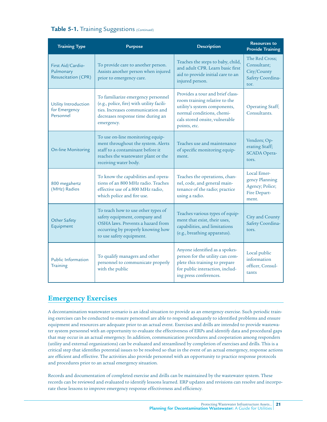#### Table 5-1. Training Suggestions (Continued)

| <b>Training Type</b>                                  | <b>Purpose</b>                                                                                                                                                             | <b>Description</b>                                                                                                                                                               | <b>Resources to</b><br><b>Provide Training</b>                            |
|-------------------------------------------------------|----------------------------------------------------------------------------------------------------------------------------------------------------------------------------|----------------------------------------------------------------------------------------------------------------------------------------------------------------------------------|---------------------------------------------------------------------------|
| First Aid/Cardio-<br>Pulmonary<br>Resuscitation (CPR) | To provide care to another person.<br>Assists another person when injured<br>prior to emergency care.                                                                      | Teaches the steps to baby, child,<br>and adult CPR. Learn basic first<br>aid to provide initial care to an<br>injured person.                                                    | The Red Cross;<br>Consultant;<br>City/County<br>Safety Coordina-<br>tor.  |
| Utility Introduction<br>for Emergency<br>Personnel    | To familiarize emergency personnel<br>(e.g., police, fire) with utility facili-<br>ties. Increases communication and<br>decreases response time during an<br>emergency.    | Provides a tour and brief class-<br>room training relative to the<br>utility's system components,<br>normal conditions, chemi-<br>cals stored onsite, vulnerable<br>points, etc. | Operating Staff;<br>Consultants.                                          |
| <b>On-line Monitoring</b>                             | To use on-line monitoring equip-<br>ment throughout the system. Alerts<br>staff to a contaminant before it<br>reaches the wastewater plant or the<br>receiving water body. | Teaches use and maintenance<br>of specific monitoring equip-<br>ment.                                                                                                            | Vendors; Op-<br>erating Staff;<br><b>SCADA</b> Opera-<br>tors.            |
| 800 megahertz<br>(MHz) Radios                         | To know the capabilities and opera-<br>tions of an 800 MHz radio. Teaches<br>effective use of a 800 MHz radio,<br>which police and fire use.                               | Teaches the operations, chan-<br>nel, code, and general main-<br>tenance of the radio; practice<br>using a radio.                                                                | Local Emer-<br>gency Planning<br>Agency; Police;<br>Fire Depart-<br>ment. |
| <b>Other Safety</b><br>Equipment                      | To teach how to use other types of<br>safety equipment, company and<br>OSHA laws. Prevents a hazard from<br>occurring by properly knowing how<br>to use safety equipment.  | Teaches various types of equip-<br>ment that exist, their uses,<br>capabilities, and limitations<br>(e.g., breathing apparatus).                                                 | City and County<br>Safety Coordina-<br>tors.                              |
| <b>Public Information</b><br>Training                 | To qualify managers and other<br>personnel to communicate properly<br>with the public                                                                                      | Anyone identified as a spokes-<br>person for the utility can com-<br>plete this training to prepare<br>for public interaction, includ-<br>ing press conferences.                 | Local public<br>information<br>officer, Consul-<br>tants                  |

### **Emergency Exercises**

A decontamination wastewater scenario is an ideal situation to provide as an emergency exercise. Such periodic training exercises can be conducted to ensure personnel are able to respond adequately to identified problems and ensure equipment and resources are adequate prior to an actual event. Exercises and drills are intended to provide wastewater system personnel with an opportunity to evaluate the effectiveness of ERPs and identify data and procedural gaps that may occur in an actual emergency. In addition, communication procedures and cooperation among responders (utility and external organizations) can be evaluated and streamlined by completion of exercises and drills. This is a critical step that identifies potential issues to be resolved so that in the event of an actual emergency, response actions are efficient and effective. The activities also provide personnel with an opportunity to practice response protocols and procedures prior to an actual emergency situation.

Records and documentation of completed exercise and drills can be maintained by the wastewater system. These records can be reviewed and evaluated to identify lessons learned. ERP updates and revisions can resolve and incorporate these lessons to improve emergency response effectiveness and efficiency.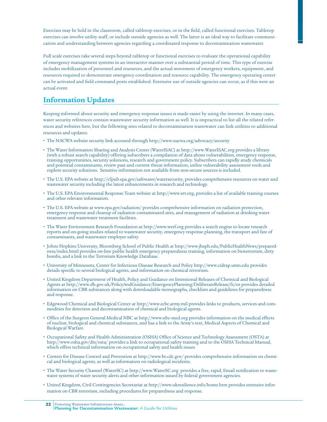Exercises may be held in the classroom, called tabletop exercises, or in the field, called functional exercises. Tabletop exercises can involve utility staff, or include outside agencies as well. The latter is an ideal way to facilitate communication and understanding between agencies regarding a coordinated response to decontamination wastewater.

Full scale exercises take several steps beyond tabletop or functional exercises to evaluate the operational capability of emergency management systems in an interactive manner over a substantial period of time. This type of exercise includes mobilization of personnel and resources, and the actual movement of emergency workers, equipment, and resources required to demonstrate emergency coordination and resource capability. The emergency operating center can be activated and field command posts established. Extensive use of outside agencies can occur, as if this were an actual event.

### **Information Updates**

Keeping informed about security and emergency response issues is made easier by using the internet. In many cases, water security references contain wastewater security information as well. It is impractical to list all the related references and websites here, but the following sites related to decontamination wastewater can link utilities to additional resources and updates:

- The NACWA website security link accessed through http://www.nacwa.org/advocacy/security
- The Water Information Sharing and Analysis Center (WaterISAC) at http://www.WaterISAC.org provides a library (with a robust search capability) offering subscribers a compilation of data about vulnerabilities, emergency response, training opportunities, security solutions, research and government policy. Subscribers can rapidly study chemicals and potential contaminants, review past and current threat information, utilize vulnerability assessment tools and explore security solutions. Sensitive information not available from non-secure sources is included.
- The U.S. EPA website at http://cfpub.epa.gov/safewater/watersecurity, provides comprehensive resources on water and wastewater security including the latest enhancements in research and technology.
- The U.S. EPA Environmental Response Team website at http://www.ert.org, provides a list of available training courses and other relevant information.
- The U.S. EPA website at www.epa.gov/radiation/ provides comprehensive information on radiation protection, emergency response and cleanup of radiation contaminated sites, and management of radiation at drinking water treatment and wastewater treatment facilities.
- The Water Environment Research Foundation at http://www.werf.org provides a search engine to locate research reports and on-going studies related to wastewater security, emergency response planning, the transport and fate of contaminants, and wastewater employee safety.
- Johns Hopkins University, Bloomberg School of Public Health at http://www.jhsph.edu/PublicHealthNews/preparedness/index.html provides on-line public health emergency preparedness training, information on bioterrorism, dirty bombs, and a link to the Terrorism Knowledge Database.
- University of Minnesota, Center for Infectious Disease Research and Policy http://www.cidrap.umn.edu provides details specific to several biological agents, and information on chemical terrorism.
- United Kingdom Department of Health, Policy and Guidance on Intentional Releases of Chemical and Biological Agents at http://www.dh.gov.uk/PolicyAndGuidance/EmergencyPlanning/DeliberateRelease/fs/en provides detailed information on CBR substances along with downloadable monographs, checklists and guidelines for preparedness and response.
- Edgewood Chemical and Biological Center at http://www.ecbc.army.mil provides links to products, services and commodities for detection and decontamination of chemical and biological agents.
- Office of the Surgeon General Medical NBC at http://www.nbc-med.org provides information on the medical effects of nuclear, biological and chemical substances, and has a link to the Army's text, Medical Aspects of Chemical and Biological Warfare.
- Occupational Safety and Health Administration (OSHA) Office of Science and Technology Assessment (OSTA) at http://www.osha.gov/dts/osta/ provides a link to occupational safety training and to the OSHA Technical Manual, which offers technical information on occupational safety and health issues
- Centers for Disease Control and Prevention at http://www.bt.cdc.gov/ provides comprehensive information on chemical and biological agents, as well as information on radiological incidents.
- The Water Security Channel (WaterSC) at http://www.WaterSC.org provides a free, rapid, Email notification to wastewater systems of water security alerts and other information issued by federal government agencies.
- United Kingdom, Civil Contingencies Secretariat at http://www.ukresilience.info/home.htm provides extensive information on CBR terrorism, including procedures for preparedness and response.

**22** Protecting Wastewater Infrastructure Assets... **Planning for Decontamination Wastewater:** A Guide for Utilities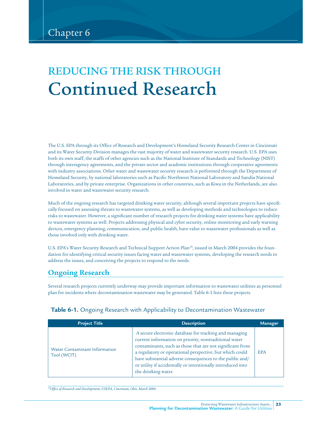## REDUCING THE RISK THROUGH Continued Research

The U.S. EPA through its Office of Research and Development's Homeland Security Research Center in Cincinnati and its Water Security Division manages the vast majority of water and wastewater security research. U.S. EPA uses both its own staff, the staffs of other agencies such as the National Institute of Standards and Technology (NIST) through interagency agreements, and the private sector and academic institutions through cooperative agreements with industry associations. Other water and wastewater security research is performed through the Department of Homeland Security, by national laboratories such as Pacifi c Northwest National Laboratory and Sandia National Laboratories, and by private enterprise. Organizations in other countries, such as Kiwa in the Netherlands, are also involved in water and wastewater security research.

Much of the ongoing research has targeted drinking water security, although several important projects have specifically focused on assessing threats to wastewater systems, as well as developing methods and technologies to reduce risks to wastewater. However, a significant number of research projects for drinking water systems have applicability to wastewater systems as well. Projects addressing physical and cyber security, online monitoring and early warning devices, emergency planning, communication, and public health, have value to wastewater professionals as well as those involved only with drinking water.

U.S. EPA's Water Security Research and Technical Support Action Plan<sup>10</sup>, issued in March 2004 provides the foundation for identifying critical security issues facing water and wastewater systems, developing the research needs to address the issues, and conceiving the projects to respond to the needs.

#### **Ongoing Research**

Several research projects currently underway may provide important information to wastewater utilities as personnel plan for incidents where decontamination wastewater may be generated. Table 6-1 lists these projects.

| <b>Project Title</b>                         | <b>Description</b>                                                                                                                                                                                                                                                                                                                                                                         | <b>Manager</b> |
|----------------------------------------------|--------------------------------------------------------------------------------------------------------------------------------------------------------------------------------------------------------------------------------------------------------------------------------------------------------------------------------------------------------------------------------------------|----------------|
| Water Contaminant Information<br>Tool (WCIT) | A secure electronic database for tracking and managing<br>current information on priority, nontraditional water<br>contaminants, such as those that are not significant from<br>a regulatory or operational perspective, but which could<br>have substantial adverse consequences to the public and/<br>or utility if accidentally or intentionally introduced into<br>the drinking water. | <b>EPA</b>     |

#### **Table 6-1.** Ongoing Research with Applicability to Decontamination Wastewater

<sup>10</sup>Office of Research and Development, USEPA, Cincinnati, Ohio, March 2004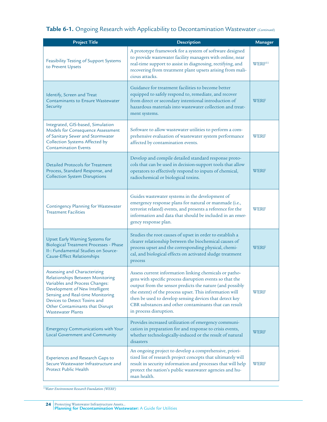### Table 6-1. Ongoing Research with Applicability to Decontamination Wastewater (Continued)

| <b>Project Title</b>                                                                                                                                                                                                                                                    | <b>Description</b>                                                                                                                                                                                                                                                                                                                                                                      | Manager            |
|-------------------------------------------------------------------------------------------------------------------------------------------------------------------------------------------------------------------------------------------------------------------------|-----------------------------------------------------------------------------------------------------------------------------------------------------------------------------------------------------------------------------------------------------------------------------------------------------------------------------------------------------------------------------------------|--------------------|
| Feasibility Testing of Support Systems<br>to Prevent Upsets                                                                                                                                                                                                             | A prototype framework for a system of software designed<br>to provide wastewater facility managers with online, near<br>real-time support to assist in diagnosing, rectifying, and<br>recovering from treatment plant upsets arising from mali-<br>cious attacks.                                                                                                                       | WERF <sup>11</sup> |
| Identify, Screen and Treat<br><b>Contaminants to Ensure Wastewater</b><br>Security                                                                                                                                                                                      | Guidance for treatment facilities to become better<br>equipped to safely respond to, remediate, and recover<br>from direct or secondary intentional introduction of<br>hazardous materials into wastewater collection and treat-<br>ment systems.                                                                                                                                       | <b>WERF</b>        |
| Integrated, GIS-based, Simulation<br>Models for Consequence Assessment<br>of Sanitary Sewer and Stormwater<br><b>Collection Systems Affected by</b><br><b>Contamination Events</b>                                                                                      | Software to allow wastewater utilities to perform a com-<br>prehensive evaluation of wastewater system performance<br>affected by contamination events.                                                                                                                                                                                                                                 | <b>WERF</b>        |
| Detailed Protocols for Treatment<br>Process, Standard Response, and<br><b>Collection System Disruptions</b>                                                                                                                                                             | Develop and compile detailed standard response proto-<br>cols that can be used in decision-support tools that allow<br>operators to effectively respond to inputs of chemical,<br>radiochemical or biological toxins.                                                                                                                                                                   | <b>WERF</b>        |
| Contingency Planning for Wastewater<br><b>Treatment Facilities</b>                                                                                                                                                                                                      | Guides wastewater systems in the development of<br>emergency response plans for natural or manmade (i.e.,<br>terrorist related) events, and presents a reference for the<br>information and data that should be included in an emer-<br>gency response plan.                                                                                                                            | <b>WERF</b>        |
| Upset Early Warning Systems for<br>Biological Treatment Processes - Phase<br>II-: Fundamental Studies on Source-<br><b>Cause-Effect Relationships</b>                                                                                                                   | Studies the root causes of upset in order to establish a<br>clearer relationship between the biochemical causes of<br>process upset and the corresponding physical, chemi-<br>cal, and biological effects on activated sludge treatment<br>process                                                                                                                                      | <b>WERF</b>        |
| Assessing and Characterizing<br>Relationships Between Monitoring<br>Variables and Process Changes:<br>Development of New Intelligent<br>Sensing and Real-time Monitoring<br>Devices to Detect Toxins and<br>Other Contaminants that Disrupt<br><b>Wastewater Plants</b> | Assess current information linking chemicals or patho-<br>gens with specific process disruption events so that the<br>output from the sensor predicts the nature (and possibly<br>the extent) of the process upset. This information will<br>then be used to develop sensing devices that detect key<br>CBR substances and other contaminants that can result<br>in process disruption. | <b>WERF</b>        |
| <b>Emergency Communications with Your</b><br>Local Government and Community                                                                                                                                                                                             | Provides increased utilization of emergency communi-<br>cation in preparation for and response to crisis events,<br>whether technologically-induced or the result of natural<br>disasters                                                                                                                                                                                               | <b>WERF</b>        |
| Experiences and Research Gaps to<br>Secure Wastewater Infrastructure and<br><b>Protect Public Health</b>                                                                                                                                                                | An ongoing project to develop a comprehensive, priori-<br>tized list of research project concepts that ultimately will<br>result in security information and processes that will help<br>protect the nation's public wastewater agencies and hu-<br>man health.                                                                                                                         | <b>WERF</b>        |

*11Water Environment Research Foundation (WERF)*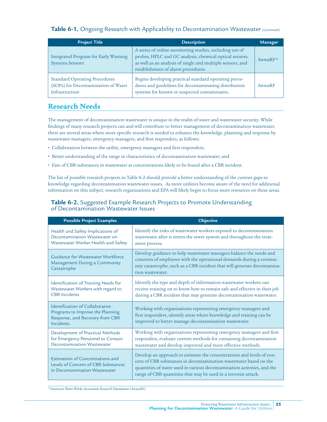#### Table 6-1. Ongoing Research with Applicability to Decontamination Wastewater (Continued)

| <b>Project Title</b>                                                                          | <b>Description</b>                                                                                                                                                                                                     | Manager              |
|-----------------------------------------------------------------------------------------------|------------------------------------------------------------------------------------------------------------------------------------------------------------------------------------------------------------------------|----------------------|
| Integrated Program for Early Warning<br><b>Systems Sensors</b>                                | A series of online monitoring studies, including use of<br>probes, HPLC and GC analysis, chemical optical sensors,<br>as well as an analysis of single and multiple sensors, and<br>establishment of alarm procedures. | AwwaRF <sup>12</sup> |
| <b>Standard Operating Procedures</b><br>(SOPs) for Decontamination of Water<br>Infrastructure | Begins developing practical standard operating proce-<br>dures and guidelines for decontaminating distribution<br>systems for known or suspected contaminants.                                                         | AwwaRF               |

### **Research Needs**

The management of decontamination wastewater is unique in the realm of water and wastewater security. While findings of many research projects can and will contribute to better management of decontamination wastewater, there are several areas where more specific research is needed to enhance the knowledge, planning and response by wastewater managers, emergency managers, and first responders, as follows:

- Collaboration between the utility, emergency managers and first responders;
- Better understanding of the range in characteristics of decontamination wastewater; and
- Fate of CBR substances in wastewater at concentrations likely to be found after a CBR incident.

The list of possible research projects in Table 6-2 should provide a better understanding of the current gaps in knowledge regarding decontamination wastewater issues. As more utilities become aware of the need for additional information on this subject, research organizations and EPA will likely begin to focus more resources on these areas.

#### **Table 6-2.** Suggested Example Research Projects to Promote Understanding of Decontamination Wastewater Issues

| <b>Possible Project Examples</b>                                                                                      | Objective                                                                                                                                                                                                                                                                                |
|-----------------------------------------------------------------------------------------------------------------------|------------------------------------------------------------------------------------------------------------------------------------------------------------------------------------------------------------------------------------------------------------------------------------------|
| Health and Safety Implications of<br>Decontamination Wastewater on<br>Wastewater Worker Health and Safety             | Identify the risks of wastewater workers exposed to decontamination<br>wastewater after it enters the sewer system and throughout the treat-<br>ment process.                                                                                                                            |
| Guidance for Wastewater Workforce<br>Management During a Community<br>Catastrophe                                     | Develop guidance to help wastewater managers balance the needs and<br>concerns of employees with the operational demands during a commu-<br>nity catastrophe, such as a CBR incident that will generate decontamina-<br>tion wastewater.                                                 |
| Identification of Training Needs for<br>Wastewater Workers with regard to<br><b>CBR</b> Incidents                     | Identify the type and depth of information wastewater workers can<br>receive training on to know how to remain safe and effective in their job<br>during a CBR incident that may generate decontamination wastewater.                                                                    |
| Identification of Collaborative<br>Programs to Improve the Planning,<br>Response, and Recovery from CBR<br>Incidents. | Working with organizations representing emergency managers and<br>first responders, identify areas where knowledge and training can be<br>improved to better manage decontamination wastewater.                                                                                          |
| Development of Practical Methods<br>for Emergency Personnel to Contain<br>Decontamination Wastewater                  | Working with organizations representing emergency managers and first<br>responders, evaluate current methods for containing decontamination<br>wastewater and develop improved and more effective methods.                                                                               |
| Estimation of Concentrations and<br>Levels of Concern of CBR Substances<br>in Decontamination Wastewater              | Develop an approach to estimate the concentrations and levels of con-<br>cern of CBR substances in decontamination wastewater based on the<br>quantities of water used in various decontamination activities, and the<br>range of CBR quantities that may be used in a terrorist attack. |

*12American Water Works Association Research Foundation (AwwaRF)*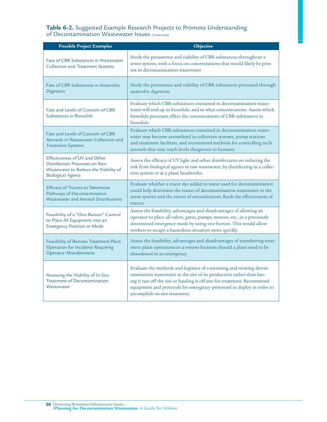#### **Table 6-2.** Suggested Example Research Projects to Promote Understanding of Decontamination Wastewater Issues (Continued)

| Possible Project Examples                                                                                                           | Objective                                                                                                                                                                                                                                                                                                                         |
|-------------------------------------------------------------------------------------------------------------------------------------|-----------------------------------------------------------------------------------------------------------------------------------------------------------------------------------------------------------------------------------------------------------------------------------------------------------------------------------|
| Fate of CBR Substances in Wastewater<br><b>Collection and Treatment Systems</b>                                                     | Study the persistence and viability of CBR substances throughout a<br>sewer system, with a focus on concentrations that would likely be pres-<br>ent in decontamination wastewater                                                                                                                                                |
| Fate of CBR Substances in Anaerobic<br>Digestion                                                                                    | Study the persistence and viability of CBR substances processed through<br>anaerobic digestion.                                                                                                                                                                                                                                   |
| Fate and Levels of Concern of CBR<br>Substances in Biosolids                                                                        | Evaluate which CBR substances contained in decontamination waste-<br>water will end up in biosolids, and in what concentrations. Assess which<br>biosolids processes effect the concentrations of CBR substances in<br>biosolids.                                                                                                 |
| Fate and Levels of Concern of CBR<br>Aerosols in Wastewater Collection and<br><b>Treatment Systems</b>                              | Evaluate which CBR substances contained in decontamination waste-<br>water may become aerosolized in collection systems, pump stations<br>and treatment facilities, and recommend methods for controlling such<br>aerosols that may reach levels dangerous to humans.                                                             |
| Effectiveness of UV and Other<br>Disinfection Processes on Raw<br>Wastewater to Reduce the Viability of<br><b>Biological Agents</b> | Assess the efficacy of UV light and other disinfectants on reducing the<br>risk from biological agents in raw wastewater, by disinfecting in a collec-<br>tion system or at a plant headworks.                                                                                                                                    |
| Efficacy of Tracers to Determine<br>Pathways of Decontamination<br>Wastewater and Aerosol Distributions                             | Evaluate whether a tracer dye added to water used for decontamination<br>could help determine the routes of decontamination wastewater in the<br>sewer system and the extent of aerosolization. Rank the effectiveness of<br>tracers.                                                                                             |
| Feasibility of a "One-Button" Control<br>to Place All Equipment into an<br><b>Emergency Position or Mode</b>                        | Assess the feasibility, advantages and disadvantages of allowing an<br>operator to place all valves, gates, pumps, motors, etc., in a previously<br>determined emergency mode by using one-button. This would allow<br>workers to escape a hazardous situation more quickly.                                                      |
| Feasibility of Remote Treatment Plant<br>Operation for Incidents Requiring<br>Operator Abandonment                                  | Assess the feasibility, advantages and disadvantages of transferring treat-<br>ment plant operations to a remote location should a plant need to be<br>abandoned in an emergency.                                                                                                                                                 |
| Assessing the Viability of In-Situ<br><b>Treatment of Decontamination</b><br>Wastewater                                             | Evaluate the methods and logistics of containing and treating decon-<br>tamination wastewater at the site of its production rather than hav-<br>ing it run off the site or hauling it off-site for treatment. Recommend<br>equipment and protocols for emergency personnel to deploy in order to<br>accomplish on-site treatment. |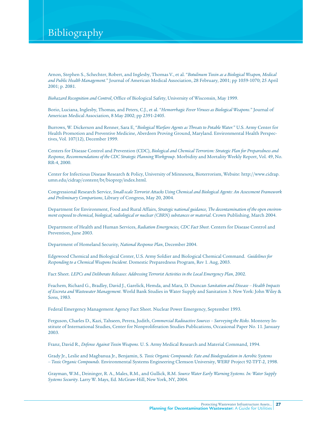## Bibliography

Arnon, Stephen S., Schechter, Robert, and Inglesby, Thomas V., et al. "*Botulinum Toxin as a Biological Weapon, Medical and Public Health Management.*" Journal of American Medical Association, 28 February, 2001; pp 1059-1070; 25 April 2001; p. 2081.

Biohazard Recognition and Control, Office of Biological Safety, University of Wisconsin, May 1999.

Borio, Luciana, Inglesby, Thomas, and Peters, C.J., et al. "*Hemorrhagic Fever Viruses as Biological Weapons.*" Journal of American Medical Association, 8 May 2002; pp 2391-2405.

Burrows, W. Dickerson and Renner, Sara E, "*Biological Warfare Agents as Threats to Potable Water.*" U.S. Army Center for Health Promotion and Preventive Medicine, Aberdeen Proving Ground, Maryland. Environmental Health Perspectives, Vol. 107(12), December 1999.

Centers for Disease Control and Prevention (CDC), *Biological and Chemical Terrorism: Strategic Plan for Preparedness and Response, Recommendations of the CDC Strategic Planning Workgroup*. Morbidity and Mortality Weekly Report, Vol. 49, No. RR-4, 2000.

Center for Infectious Disease Research & Policy, University of Minnesota, Bioterrorism, Website: http://www.cidrap. umn.edu/cidrap/content/bt/bioprep/index.html.

Congressional Research Service, *Small-scale Terrorist Attacks Using Chemical and Biological Agents: An Assessment Framework and Preliminary Comparisons*, Library of Congress, May 20, 2004.

Department for Environment, Food and Rural Affairs, *Strategic national guidance, The decontamination of the open environment exposed to chemical, biological, radiological or nuclear (CBRN) substances or material*. Crown Publishing, March 2004.

Department of Health and Human Services, *Radiation Emergencies, CDC Fact Sheet*. Centers for Disease Control and Prevention, June 2003.

Department of Homeland Security, *National Response Plan*, December 2004.

Edgewood Chemical and Biological Center, U.S. Army Soldier and Biological Chemical Command. *Guidelines for Responding to a Chemical Weapons Incident*. Domestic Preparedness Program, Rev 1. Aug, 2003.

Fact Sheet. *LEPCs and Deliberate Releases: Addressing Terrorist Activities in the Local Emergency Plan*, 2002.

Feachem, Richard G., Bradley, David J., Garelick, Hemda, and Mara, D. Duncan *Sanitation and Disease – Health Impacts of Excreta and Wastewater Management*. World Bank Studies in Water Supply and Sanitation 3. New York: John Wiley & Sons, 1983.

Federal Emergency Management Agency Fact Sheet. Nuclear Power Emergency, September 1993.

Ferguson, Charles D., Kazi, Tahseen, Perera, Judith, *Commercial Radioactive Sources – Surveying the Risks*. Monterey Institute of International Studies, Center for Nonproliferation Studies Publications, Occasional Paper No. 11. January 2003.

Franz, David R., *Defense Against Toxin Weapons*. U. S. Army Medical Research and Material Command, 1994.

Grady Jr., Leslie and Magbanua Jr., Benjamin, S. *Toxic Organic Compounds: Fate and Biodegradation in Aerobic Systems – Toxic Organic Compounds*. Environmental Systems Engineering Clemson University, WERF Project 92-TFT-2, 1998.

Grayman, W.M., Deininger, R. A., Males, R.M., and Gullick, R.M. *Source Water Early Warning Systems. In: Water Supply Systems Security*. Larry W. Mays, Ed. McGraw-Hill, New York, NY, 2004.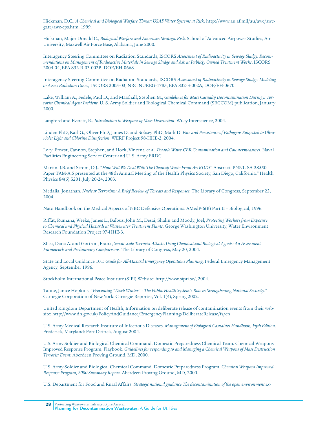Hickman, D.C., *A Chemical and Biological Warfare Threat: USAF Water Systems at Risk*. http://www.au.af.mil/au/awc/awcgate/awc-cps.htm. 1999.

Hickman, Major Donald C., *Biological Warfare and American Strategic Risk*. School of Advanced Airpower Studies, Air University, Maxwell Air Force Base, Alabama, June 2000.

Interagency Steering Committee on Radiation Standards, ISCORS *Assessment of Radioactivity in Sewage Sludge: Recommendations on Management of Radioactive Materials in Sewage Sludge and Ash at Publicly Owned Treatment Works*, ISCORS 2004-04, EPA 832-R-03-002B, DOE/EH-0668.

Interagency Steering Committee on Radiation Standards, ISCORS *Assessment of Radioactivity in Sewage Sludge: Modeling to Assess Radiation Doses*, ISCORS 2005-03, NRC NUREG-1783, EPA 832-E-002A, DOE/EH-0670.

Lake, William A., Fedele, Paul D., and Marshall, Stephen M., *Guidelines for Mass Casualty Decontamination During a Terrorist Chemical Agent Incident*. U. S. Army Soldier and Biological Chemical Command (SBCCOM) publication, January 2000.

Langford and Everett, R., *Introduction to Weapons of Mass Destruction*. Wiley Interscience, 2004.

Linden PhD, Karl G., Oliver PhD, James D. and Sobsey PhD, Mark D. *Fate and Persistence of Pathogens Subjected to Ultraviolet Light and Chlorine Disinfection*. WERF Project 98-HHE-2, 2004.

Lory, Ernest, Cannon, Stephen, and Hock, Vincent, et al. *Potable Water CBR Contamination and Countermeasures*. Naval Facilities Engineering Service Center and U. S. Army ERDC.

Martin, J.B. and Strom, D.J., "*How Will We Deal With The Cleanup Waste From An RDD?*" Abstract. PNNL-SA-38550. Paper TAM-A.5 presented at the 48th Annual Meeting of the Health Physics Society, San Diego, California." Health Physics 84(6):S201, July 20-24, 2003.

Medalia, Jonathan, *Nuclear Terrorism: A Brief Review of Threats and Responses*. The Library of Congress, September 22, 2004.

Nato Handbook on the Medical Aspects of NBC Defensive Operations. AMedP-6(B) Part II – Biological, 1996.

Riffat, Rumana, Weeks, James L., Balbus, John M., Desai, Shalin and Moody, Joel, *Protecting Workers from Exposure to Chemical and Physical Hazards at Wastewater Treatment Plants*. George Washington University, Water Environment Research Foundation Project 97-HHE-3.

Shea, Dana A. and Gottron, Frank, *Small-scale Terrorist Attacks Using Chemical and Biological Agents: An Assessment Framework and Preliminary Comparisons*. The Library of Congress, May 20, 2004.

State and Local Guidance 101: *Guide for All-Hazard Emergency Operations Planning*. Federal Emergency Management Agency, September 1996.

Stockholm International Peace Institute (SIPI) Website: http://www.sipri.se/, 2004.

Tanne, Janice Hopkins, "*Preventing "Dark Winter*" - *The Public Health System's Role in Strengthening National Security.*" Carnegie Corporation of New York: Carnegie Reporter, Vol. 1(4), Spring 2002.

United Kingdom Department of Health, Information on deliberate release of contamination events from their website: http://www.dh.gov.uk/PolicyAndGuidance/EmergencyPlanning/DeliberateRelease/fs/en

U.S. Army Medical Research Institute of Infectious Diseases. *Management of Biological Casualties Handbook, Fifth Edition*. Frederick, Maryland: Fort Detrick, August 2004.

U.S. Army Soldier and Biological Chemical Command. Domestic Preparedness Chemical Team. Chemical Weapons Improved Response Program, Playbook. *Guidelines for responding to and Managing a Chemical Weapons of Mass Destruction Terrorist Event*. Aberdeen Proving Ground, MD, 2000.

U.S. Army Soldier and Biological Chemical Command. Domestic Preparedness Program. *Chemical Weapons Improved Response Program, 2000 Summary Report*. Aberdeen Proving Ground, MD, 2000.

U.S. Department for Food and Rural Affairs. *Strategic national guidance The decontamination of the open environment ex-*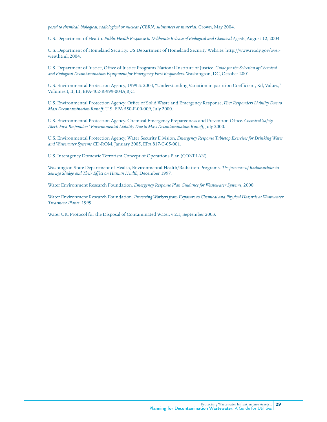*posed to chemical, biological, radiological or nuclear (CBRN) substances or material*. Crown, May 2004.

U.S. Department of Health. *Public Health Response to Deliberate Release of Biological and Chemical Agents*, August 12, 2004.

U.S. Department of Homeland Security. US Department of Homeland Security Website: http://www.ready.gov/overview.html, 2004.

U.S. Department of Justice, Office of Justice Programs National Institute of Justice. *Guide for the Selection of Chemical and Biological Decontamination Equipment for Emergency First Responders*. Washington, DC, October 2001

U.S. Environmental Protection Agency, 1999 & 2004, "Understanding Variation in partition Coefficient, Kd, Values," Volumes I, II, III, EPA-402-R-999-004A,B,C.

U.S. Environmental Protection Agency, Office of Solid Waste and Emergency Response, *First Responders Liability Due to Mass Decontamination Runoff*. U.S. EPA 550-F-00-009, July 2000.

U.S. Environmental Protection Agency, Chemical Emergency Preparedness and Prevention Office. *Chemical Safety Alert: First Responders' Environmental Liability Due to Mass Decontamination Runoff*, July 2000.

U.S. Environmental Protection Agency, Water Security Division, *Emergency Response Tabletop Exercises for Drinking Water and Wastewater Systems* CD-ROM, January 2005, EPA 817-C-05-001.

U.S. Interagency Domestic Terrorism Concept of Operations Plan (CONPLAN).

Washington State Department of Health, Environmental Health/Radiation Programs. *The presence of Radionuclides in Sewage Sludge and Their Effect on Human Health*, December 1997.

Water Environment Research Foundation. *Emergency Response Plan Guidance for Wastewater Systems*, 2000.

Water Environment Research Foundation. *Protecting Workers from Exposure to Chemical and Physical Hazards at Wastewater Treatment Plants*, 1999.

Water UK. Protocol for the Disposal of Contaminated Water. v 2.1, September 2003.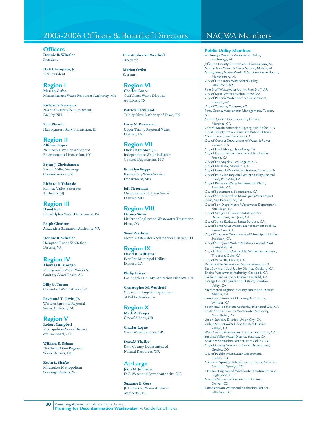## 2005-2006 Officers & Board of Directors NACWA Members

**Officers Donnie R. Wheeler** President

**Dick Champion, Jr.** Vice President

**Region I Marian Orfeo** Massachusetts Water Resources Authority, MA

**Richard S. Seymour** Nashua Wastewater Treatment Facility, NH

**Paul Pinault** Narragansett Bay Commission, RI

**Region II Alfonso Lopez** New York City Department of Environmental Protection, NY

**Bryan J. Christiansen** Passaic Valley Sewerage Commissioners, NJ

**Richard P. Tokarski** Rahway Valley Sewerage Authority, NJ

**Region III David Katz** Philadelphia Water Department, PA

**Ralph Charlton** Alexandria Sanitation Authority, VA

**Donnie R. Wheeler** Hampton Roads Sanitation District, VA

**Region IV Thomas R. Morgan** Montgomery Water Works & Sanitary Sewer Board, AL

**Billy G. Turner** Columbus Water Works, GA

**Raymond T. Orvin, Jr.** Western Carolina Regional Sewer Authority, SC

**Region V Robert Campbell** Metropolitan Sewer District of Cincinnati, OH

**William B. Schatz** Northeast Ohio Regional Sewer District, OH

**Kevin L. Shafer** Milwaukee Metropolitan Sewerage District, WI

**Christopher M. Westhoff** Treasurer

**Marian Orfeo** Secretary

**Region VI Charles Ganze** Gulf Coast Waste Disposal Authority, TX

**Patricia Cleveland** Trinity River Authority of Texas, TX

**Larry N. Patterson** Upper Trinity Regional Water District, TX

**Region VII Dick Champion, Jr.** Independence Water Pollution Control Department, MO

**Franklyn Pogge** Kansas City Water Services Department, MO

**Jeff Theerman** Metropolitan St. Louis Sewer District, MO

#### **Region VIII Dennis Stowe** Littleton/Englewood Wastewater Treatment Plant, CO

**Steve Pearlman** Metro Wastewater Reclamation District, CO

**Region IX David R. Williams** East Bay Municipal Utility District, CA

**Philip Friess** Los Angeles County Sanitation Districts, CA

**Christopher M. Westhoff** City of Los Angeles Department of Public Works, CA

**Region X Mark A. Yeager** City of Albany, OR

**Charles Logue** Clean Water Services, OR

**Donald Theiler** King County Department of Natural Resources, WA

**At-Large Jerry N. Johnson** D.C. Water and Sewer Authority, DC

**Suzanne E. Goss** JEA (Electric, Water & Sewer Authority), FL

**Public Utility Members** Anchorage Water & Wastewater Utility, Anchorage, AK Jefferson County Commission, Birmingham, AL Mobile Area Water & Sewer System, Mobile, AL Montgomery Water Works & Sanitary Sewer Board, Montgomery, AL City of Little Rock Wastewater Utility, Little Rock, AR Pine Bluff Wastewater Utility, Pine Bluff, AR City of Mesa Water Division, Mesa, AZ City of Phoenix Water Services Department, Phoenix, AZ City of Tolleson, Tolleson, AZ Pima County Wastewater Management, Tucson, AZ Central Contra Costa Sanitary District, Martinez, CA Central Marin Sanitation Agency, San Rafael, CA City & County of San Francisco Public Utilities Commission, San Francisco, CA City of Corona Department of Water & Power, Corona, CA City of Healdsburg, Healdburg, CA City of Fresno Department of Public Utilities, Fresno, CA City of Los Angeles, Los Angeles, CA City of Modesto, Modesto, CA City of Oxnard Wastewater Division, Oxnard, CA City of Palo Alto Regional Water Quality Control Plant, Palo Alto, CA City of Riverside Water Reclamation Plant, Riverside, CA City of Sacramento, Sacramento, CA City of San Bernardino Municipal Water Department, San Bernardino, CA City of San Diego Metro Wastewater Department, San Diego, CA City of San Jose Environmental Services Department, San Jose, CA City of Santa Barbara, Santa Barbara, CA City of Santa Cruz Wastewater Treatment Facility, Santa Cruz, CA City of Stockton Department of Municipal Utilities, Stockton, CA City of Sunnyvale Water Pollution Control Plant, Sunnyvale, CA City of Thousand Oaks Public Works Department, Thousand Oaks, CA City of Vacaville, Elmira, CA Delta Diablo Sanitation District, Antioch, CA East Bay Municipal Utility District, Oakland, CA Encina Wastewater Authority, Carlsbad, CA Fairfield-Suisun Sewer District, Fairfield, CA Orange County Sanitation District, Fountain Valley, CA Sacramento Regional County Sanitation District, Mather, CA Sanitation Districts of Los Angeles County, Whittier, CA South Bayside System Authority, Redwood City, CA South Orange County Wastewater Authority, Dana Point, CA Union Sanitary District, Union City, CA Vallejo Sanitation & Flood Control District, ,<br>Vallejo, CA West County Wastewater District, Richmond, CA Yucaipa Valley Water District, Yucaipa, CA Boxelder Sanitation District, Fort Collins, CO City of Greeley Water and Sewer Department, Greeley, CO City of Pueblo Wastewater Department, Pueblo, CO Colorado Springs Utilities Environmental Services, Colorado Springs, CO Littleton/Englewood Wastewater Treatment Plant, Englewood, CO Metro Wastewater Reclamation District, Denver, CO

Platte Canyon Water and Sanitation District, Littleton, CO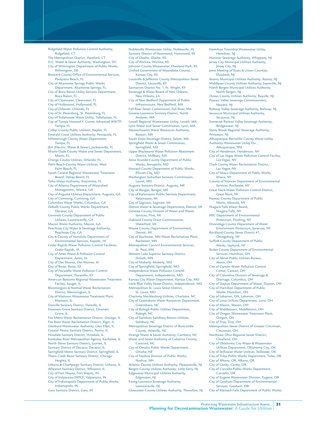Ridgefield Water Pollution Control Authority, Ridgefield, CT The Metropolitan District, Hartford, CT D.C. Water & Sewer Authority, Washington, DC City of Wilmington Department of Public Works, Wilmington, DE Broward County Office of Environmental Services, Pompano Beach, FL City of Altamonte Springs Public Works Department, Altamonte Springs, FL City of Boca Raton Utility Services Department, Boca Raton, FL City of Clearwater, Clearwater, FL City of Hollywood, Hollywood, FL City of Orlando, Orlando, FL City of St. Petersburg, St. Petersburg, FL City of Tallahassee Water Utility, Tallahassee, FL City of Tampa Howard F. Curren Advanced WWTP, Tampa, FL Collier County Public Utilities, Naples, FL Emerald Coast Utilities Authority, Pensacola, FL Hillsborough County Water Department, Tampa, FL JEA (Electric, Water & Sewer), Jacksonville, FL Miami-Dade County Water and Sewer Department, Miami, FL Orange County Utilities, Orlando, FL Palm Beach County Water Utilities, West Palm Beach, FL South Central Regional Wastewater Treatment Board, Delray Beach, FL Toho Water Authority, Kissimmee, FL City of Atlanta Department of Watershed Management, Atlanta, GA City of Augusta Utilities Department, Augusta, GA City of Cumming, Cumming, GA Columbus Water Works, Columbus, GA DeKalb County Public Works Department, Decatur, GA Gwinnett County Department of Public Utilities, Lawrenceville, GA Macon Water Authority, Macon, GA Peachtree City Water & Sewerage Authority, Peachtree City, GA City & County of Honolulu Department of Environmental Services, Kapolei, HI Cedar Rapids Water Pollution Control Facilities, Cedar Rapids, IA City of Ames Water & Pollution Control Department, Ames, IA City of Des Moines, Des Moines, IA City of Boise, Boise, ID City of Pocatello Water Pollution Control Department, Pocatello, ID American Bottoms Regional Wastewater Treatment Facility, Sauget, IL Bloomington & Normal Water Reclamation District, Bloomington, IL City of Mattoon Wastewater Treatment Plant, Mattoon, IL Danville Sanitary District, Danville, IL Downers Grove Sanitary District, Downers Grove, IL Fox Metro Water Reclamation District, Oswego, IL Fox River Water Reclamation District, Elgin, IL Glenbard Wastewater Authority, Glen Ellyn, IL Greater Peoria Sanitary District, Peoria, IL Hinsdale Sanitary District, Hinsdale, IL Kankakee River Metropolitan Agency, Kankakee, IL North Shore Sanitary District, Gurnee, IL Sanitary District of Decatur, Decatur, IL Springfield Metro Sanitary District, Springfield, IL Thorn Creek Basin Sanitary District, Chicago Heights, IL Urbana & Champaign Sanitary District, Urbana, IL Wheaton Sanitary District, Wheaton, IL City of Fort Wayne, Fort Wayne, IN City of Valparaiso EKPCF, Valparaiso, IN City of Indianapolis Department of Public Works, Indianapolis, IN

Gary Sanitary District, Gary, IN

Noblesville Wastewater Utility, Noblesville, IN Sanitary District of Hammond, Hammond, IN City of Olathe, Olathe, KS City of Wichita, Wichita, KS Johnson County Wastewater, Overland Park, KS Unified Government of Wyandotte County, Kansas City, KS Louisville & Jefferson County Metropolitan Sewer District, Louisville, KY Sanitation District No. 1, Ft. Wright, KY Sewerage & Water Board of New Orleans, New Orleans, LA City of New Bedford Department of Public Infrastructure, New Bedford, MA Fall River Sewer Commission, Fall River, MA Greater Lawrence Sanitary District, North Andover, MA Lowell Regional Wastewater Utility, Lowell, MA Lynn Water and Sewer Commission, Lynn, MA Massachusetts Water Resources Authority, Boston, MA South Essex Sewerage District, Salem, MA Springfield Water & Sewer Commission, Springfield, MA Upper Blackstone Water Pollution Abatement District, Millbury, MA Anne Arundel County Department of Public Works, Annapolis, MD ward County Department of Public Works, Ellicott City, MD Washington Suburban Sanitary Commission, Laurel, MD Augusta Sanitary District, Augusta, ME City of Bangor, Bangor, ME City of Kalamazoo Public Services Department, Kalamazoo, MI City of Saginaw, Saginaw, MI Detroit Water & Sewerage Department, Detroit, MI Genesee County Division of Water and Waste Services, Flint, MI Oakland County Drain Commissioner, Waterford, MI Wayne County Department of Environment, Detroit, MI City of Rochester, MN Water Reclamation Plant, Rochester, MN Metropolitan Council Environmental Services, St. Paul, MN Western Lake Superior Sanitary District, Duluth, MN City of Moberly, Moberly, MO City of Springfield, Springfield, MO Independence Water Pollution Control Department, Independence, MO Kansas City Water Department, Kansas City, MO Little Blue Valley Sewer District, Independence, MO Metropolitan St. Louis Sewer District, St. Louis, MO Charlotte Mecklenburg Utilities, Charlotte, NC City of Greensboro Water Resources Department, Greensboro, NC City of Raleigh Public Utilities Department, Raleigh, NC City of Salisbury Salisbury Rowan Utilities, Salisbury, NC Metropolitan Sewerage District of Buncombe County, Asheville, NC Orange Water & Sewer Authority, Carrboro, NC Water and Sewer Authority of Cabarrus County, Concord, NC City of Omaha Public Works Department, Omaha, NE City of Nashua Division of Public Works, Nashua, NH Atlantic County Utilities Authority, Pleasantville, NJ Bergen County Utilities Authority, Little Ferry, NJ Edgewater Municipal Utilities Authority, Edgewater, NJ Ewing-Lawrence Sewerage Authority, Lawrenceville, NJ

Gloucester County Utilities Authority, Thorofare, NJ

 Hamilton, NJ Hanover Sewerage Authority, Whippany, NJ Jersey City Municipal Utilities Authority, Jersey City, NJ Joint Meeting of Essex & Union Counties, Elizabeth, NJ Kearny Municipal Utilities Authority, Kearny, NJ Middlesex County Utilities Authority, Sayreville, NJ North Bergen Municipal Utilities Authority, North Bergen, NJ Ocean County Utilities Authority, Bayville, NJ Passaic Valley Sewerage Commissioners, Newark, NJ Rahway Valley Sewerage Authority, Rahway, NJ Secaucus Municipal Utilities Authority, Secaucus, NJ Somerset Raritan Valley Sewerage Authority, Bridgewater, NJ Stony Brook Regional Sewerage Authority, Princeton, NJ Albuquerque-Bernalillo County Water Utility Authority-Wastewater Utility Div., Albuquerque, NM City of Henderson, Henderson, NV City of Las Vegas Water Pollution Control Facility, Las Vegas, NV Clark County Water Reclamation District, Las Vegas, NV City of Ithaca Department of Public Works, Ithaca, NY County of Monroe Department of Environmental Services, Rochester, NY Great Neck Water Pollution Control District, Great Neck, NY Nassau County Department of Public Works, Mineola, NY Niagara Falls Water Board, Niagara Falls, NY NYC Department of Environmental Protection, Flushing, NY Onondaga County Department of Water Environment Protection, Syracuse, NY Rockland County Sewer District #1, Orangeburg, NY Suffolk County Department of Public Works, Yaphank, NY Butler County Department of Environmental Services, Hamilton, OH City of Akron Public Utilities Bureau, Akron, OH City of Canton Water Pollution Control Center, Canton, OH City of Columbus Division of Sewerage & Drainage, Columbus, OH City of Dayton Department of Water, Dayton, OH City of Hamilton Department of Public Works, Hamilton, OH City of Lebanon, OH, Lebanon, OH City of Lima Utilities Department, Lima, OH City of Mason, Mason, OH City of Middletown, Middletown, OH City of Oregon Wastewater Treatment Plant, Oregon, OH City of Troy, Troy, OH Metropolitan Sewer District of Greater Cincinnati, Cincinnati, OH Northeast Ohio Regional Sewer District, Cleveland, OH City of Oklahoma City Water & Wastewater Utilities Department, Oklahoma City, OK City of Stillwater Water Utilities, Stillwater, OK City of Tulsa Public Works Department, Tulsa, OK City of Albany, OR, Albany, OR City of Canby, Canby, OR City of Corvallis Public Works Department, Corvallis, OR City of Eugene Wastewater Division, Eugene, OR City of Gresham Department of Environmental Services, Gresham, OR

Hamilton Township Wastewater Utility,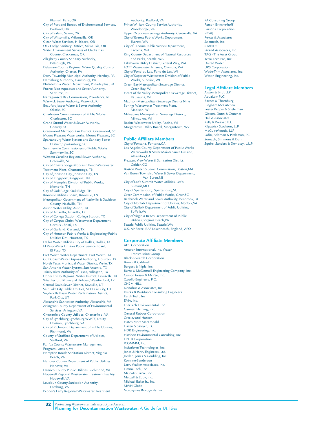Klamath Falls, OR City of Portland Bureau of Environmental Services, Portland, OR City of Salem, Salem, OR City of Wilsonville, Wilsonville, OR Clean Water Services, Hillsboro, OR Oak Lodge Sanitary District, Milwaukie, OR Water Environment Services of Clackamas County, Clackamas, OR Allegheny County Sanitary Authority, Pittsburgh, PA Delaware County Regional Water Quality Control Authority, Chester, PA Derry Township Municipal Authority, Hershey, PA Harrisburg Authority, Harrisburg, PA Philadelphia Water Department, Philadelphia, PA Puerto Rico Aqueduct and Sewer Authority, Santurce, PR Narragansett Bay Commission, Providence, RI Warwick Sewer Authority, Warwick, RI Beaufort Jasper Water & Sewer Authority, Okatie, SC Charleston Commissioners of Public Works, Charleston, SC Grand Strand Water & Sewer Authority, Conway, SC Greenwood Metropolitan District, Greenwood, SC Mount Pleasant Waterworks, Mount Pleasant, SC Spartanburg Water System and Sanitary Sewer District, Spartanburg, SC Summerville Commissioners of Public Works, Summerville, SC Western Carolina Regional Sewer Authority, Greenville, SC City of Chattanooga Moccasin Bend Wastewater Treatment Plant, Chattanooga, TN City of Johnson City, Johnson City, TN City of Kingsport, Kingsport, TN City of Memphis Division of Public Works, Memphis, TN City of Oak Ridge, Oak Ridge, TN Knoxville Utilities Board, Knoxville, TN Metropolitan Government of Nashville & Davidson County, Nashville, TN Austin Water Utility, Austin, TX City of Amarillo, Amarillo, TX City of College Station, College Station, TX City of Corpus Christi Wastewater Department, Corpus Christi, TX City of Garland, Garland, TX City of Houston Public Works & Engineering/Public Utilities Div., Houston, TX Dallas Water Utilities City of Dallas, Dallas, TX El Paso Water Utilities Public Service Board, El Paso, TX Fort Worth Water Department, Fort Worth, TX Gulf Coast Waste Disposal Authority, Houston, TX North Texas Municipal Water District, Wylie, TX San Antonio Water System, San Antonio, TX Trinity River Authority of Texas, Arlington, TX Upper Trinity Regional Water District, Lewisville, TX Weatherford Municipal Utilities, Weatherford, TX Central Davis Sewer District, Kaysville, UT Salt Lake City Public Utilities, Salt Lake City, UT Snyderville Basin Water Reclamation District, Park City, UT Alexandria Sanitation Authority, Alexandria, VA Arlington County Department of Environmental Services, Arlington, VA Chesterfield County Utilities, Chesterfield, VA City of Lynchburg Lynchburg WWTF, Utility Division, Lynchburg, VA City of Richmond Department of Public Utilities, Richmond, VA County of Stafford Department of Utilities, Stafford, VA Fairfax County Wastewater Management Program, Lorton, VA Hampton Roads Sanitation District, Virginia Beach, VA Hanover County Department of Public Utilities, Hanover, VA Henrico County Public Utilities, Richmond, VA Hopewell Regional Wastewater Treatment Facility, Hopewell, VA Loudoun County Sanitation Authority,

Leesburg, VA

Pepper's Ferry Regional Wastewater Treatment

 Authority, Radford, VA Prince William County Service Authority, Woodbridge, VA Upper Occoquan Sewage Authority, Centreville, VA City of Everett Public Works Department, Everett, WA City of Tacoma Public Works Department, Tacoma, WA King County Department of Natural Resources and Parks, Seattle, WA Lakehaven Utility District, Federal Way, WA LOTT Wastewater Alliance, Olympia, WA City of Fond du Lac, Fond du Lac, WI City of Superior Wastewater Division of Public Works, Superior, WI Green Bay Metropolitan Sewerage District, Green Bay, WI Heart of the Valley Metropolitan Sewerage District, Kaukauna, WI Madison Metropolitan Sewerage District Nine Springs Wastewater Treatment Plant, Madison, WI Milwaukee Metropolitan Sewerage District, Milwaukee, WI Racine Wastewater Utility, Racine, WI Morgantown Utility Board, Morgantown, WV **Public Affiliate Members** City of Fontana, Fontana,CA Los Angeles County Department of Public Works

 Waterworks & Sewer Maintenance Division, Alhambra,CA Pleasant View Water & Sanitation District, Golden,CO Boston Water & Sewer Commission, Boston,MA Van Buren Township Water & Sewer Department, Van Buren,MI City of Lee's Summit Water Utilities, Lee's Summit,MO City of Spartanburg, Spartanburg,SC Greer Commission of Public Works, Greer,SC Benbrook Water and Sewer Authority, Benbrook,TX City of Norfolk Department of Utilities, Norfolk,VA City of Suffolk Department of Public Utilities, Suffolk,VA City of Virginia Beach Department of Public Utilities, Virginia Beach,VA Seattle Public Utilities, Seattle,WA U.S. Air Force, RAF Lakenheath, England, APO

#### **Corporate Affiliate Members**

ADS Corporation Ameron International, Inc. Water Transmission Group Black & Veatch Corporation Brown & Caldwell Burgess & Niple, Inc. Burns & McDonnell Engineering Company, Inc. Camp Dresser & McKee, Inc. Carollo Engineers, P.C. CH<sub>2</sub>M HILL Donohue & Associates, Inc. Dvirka & Bartilucci Consulting Engineers Earth Tech, Inc. EMA, Inc. EnerTech Environmental. Inc. Gannett Fleming, Inc. General Rubber Corporation Greeley and Hansen Hatch Mott MacDonald Hazen & Sawyer, P.C. HDR Engineering, Inc. Hinshon Environmental Consulting, Inc. HNTB Corporation ICOMMM, Inc. Insituform Technologies, Inc. Jones & Henry Engineers, Ltd. Jordan, Jones & Goulding, Inc. Komline-Sanderson Larry Walker Associates, Inc. Limno-Tech, Inc. Malcolm Pirnie, Inc. Metcalf & Eddy, Inc. Michael Baker Jr., Inc. MWH Global Novozymes Biologicals, Inc.

Parson Brinckerhoff Parsons Corporation PBS&J Perras & Associates Scientech, Inc. **STANTEC** Strand Associates, Inc. TAG - The Asset Group Tetra Tech EM, Inc. United Water URS Corporation Wade-Trim Associates, Inc. Westin Engineering, Inc.

PA Consulting Group

#### **Legal Affiliate Members**

Alston & Bird, LLP AquaLaw PLC Barnes & Thornburg Bingham McCutchen Foster Pepper & Shefelman Gibson, Dunn & Crutcher Hall & Associates Kelly & Weaver, P.C. Kilpatrick Stockton, LLP McGuireWoods, LLP Odin, Feldman & Pittleman, PC Somach, Simmons & Dunn Squire, Sanders & Dempsey, L.L.P.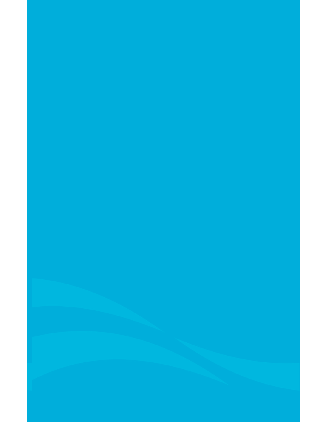